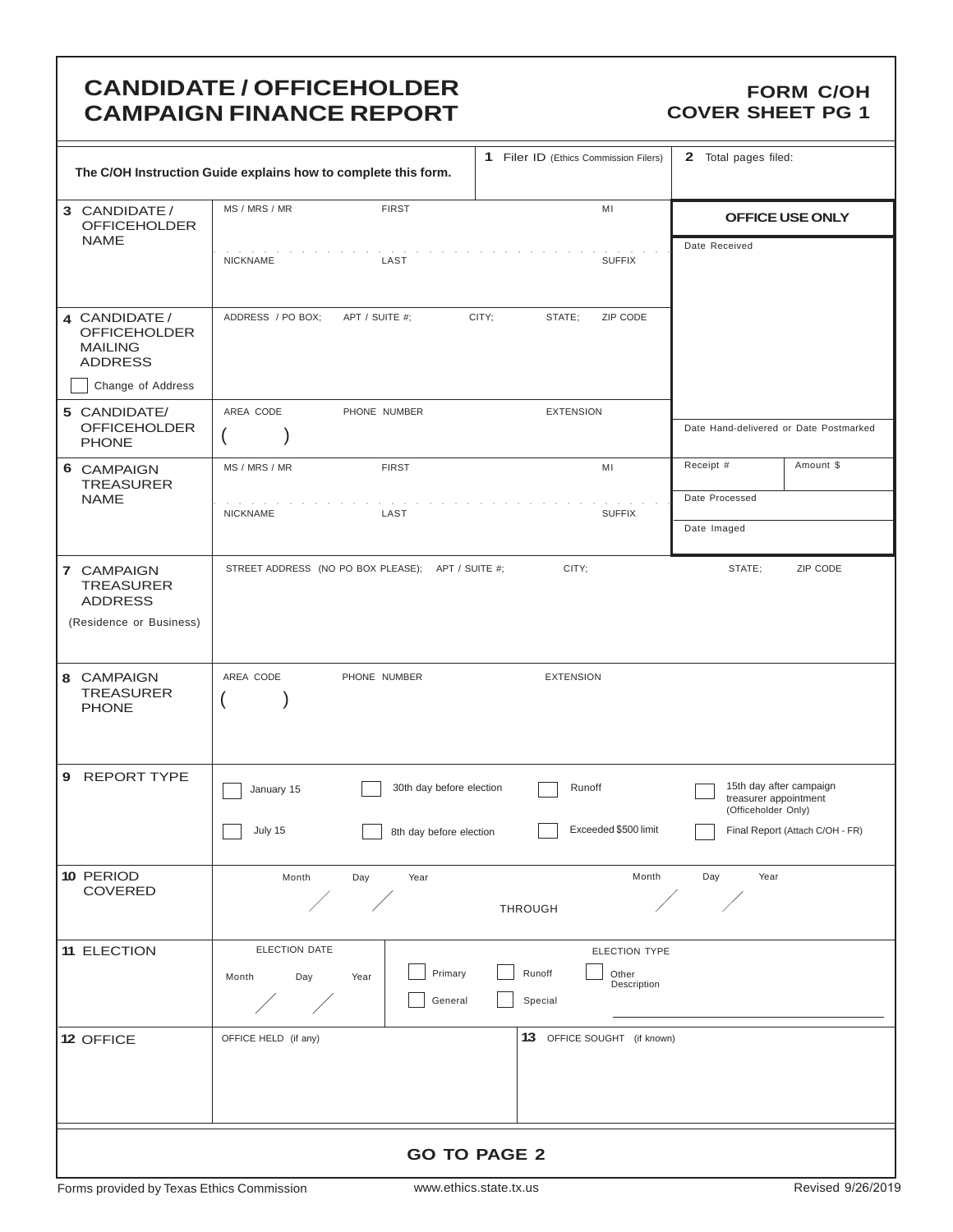# **CANDIDATE / OFFICEHOLDER CAMPAIGN FINANCE REPORT**

### **FORM C/OH COVER SHEET PG 1**

| 1 Filer ID (Ethics Commission Filers)<br>The C/OH Instruction Guide explains how to complete this form. |                                                       |                          |                             |                      | 2 Total pages filed:                         |                                 |
|---------------------------------------------------------------------------------------------------------|-------------------------------------------------------|--------------------------|-----------------------------|----------------------|----------------------------------------------|---------------------------------|
| 3 CANDIDATE /<br><b>OFFICEHOLDER</b>                                                                    | MS / MRS / MR<br><b>FIRST</b>                         |                          | MI                          |                      |                                              | OFFICE USE ONLY                 |
| <b>NAME</b>                                                                                             | <b>NICKNAME</b><br>LAST                               |                          |                             | <b>SUFFIX</b>        | Date Received                                |                                 |
| 4 CANDIDATE /<br><b>OFFICEHOLDER</b><br><b>MAILING</b><br><b>ADDRESS</b>                                | ADDRESS / PO BOX;<br>APT / SUITE #;                   | CITY;                    | STATE;                      | ZIP CODE             |                                              |                                 |
| Change of Address                                                                                       |                                                       |                          |                             |                      |                                              |                                 |
| 5 CANDIDATE/<br><b>OFFICEHOLDER</b><br><b>PHONE</b>                                                     | AREA CODE<br>PHONE NUMBER                             |                          | <b>EXTENSION</b>            |                      | Date Hand-delivered or Date Postmarked       |                                 |
| 6 CAMPAIGN<br><b>TREASURER</b>                                                                          | MS / MRS / MR<br><b>FIRST</b>                         |                          | MI                          |                      | Receipt #                                    | Amount \$                       |
| <b>NAME</b>                                                                                             | <b>NICKNAME</b><br>LAST                               |                          |                             | <b>SUFFIX</b>        | Date Processed                               |                                 |
|                                                                                                         |                                                       |                          |                             |                      | Date Imaged                                  |                                 |
| 7 CAMPAIGN<br><b>TREASURER</b><br><b>ADDRESS</b>                                                        | STREET ADDRESS (NO PO BOX PLEASE); APT / SUITE #;     |                          | CITY;                       |                      | STATE;                                       | ZIP CODE                        |
| (Residence or Business)                                                                                 |                                                       |                          |                             |                      |                                              |                                 |
| 8 CAMPAIGN<br><b>TREASURER</b><br><b>PHONE</b>                                                          | AREA CODE<br>PHONE NUMBER<br>$\overline{\mathcal{L}}$ |                          | <b>EXTENSION</b>            |                      |                                              |                                 |
| <b>REPORT TYPE</b><br>9                                                                                 | January 15                                            | 30th day before election | Runoff                      |                      | treasurer appointment<br>(Officeholder Only) | 15th day after campaign         |
|                                                                                                         | July 15                                               | 8th day before election  |                             | Exceeded \$500 limit |                                              | Final Report (Attach C/OH - FR) |
| 10 PERIOD<br><b>COVERED</b>                                                                             | Month<br>Day<br>Year                                  |                          | <b>THROUGH</b>              | Month                | Day<br>Year                                  |                                 |
| 11 ELECTION                                                                                             | ELECTION DATE                                         |                          |                             | ELECTION TYPE        |                                              |                                 |
|                                                                                                         | Month<br>Day<br>Year                                  | Primary                  | Runoff                      | Other<br>Description |                                              |                                 |
|                                                                                                         |                                                       | General                  | Special                     |                      |                                              |                                 |
| 12 OFFICE                                                                                               | OFFICE HELD (if any)                                  |                          | 13 OFFICE SOUGHT (if known) |                      |                                              |                                 |
|                                                                                                         |                                                       |                          |                             |                      |                                              |                                 |
| <b>GO TO PAGE 2</b>                                                                                     |                                                       |                          |                             |                      |                                              |                                 |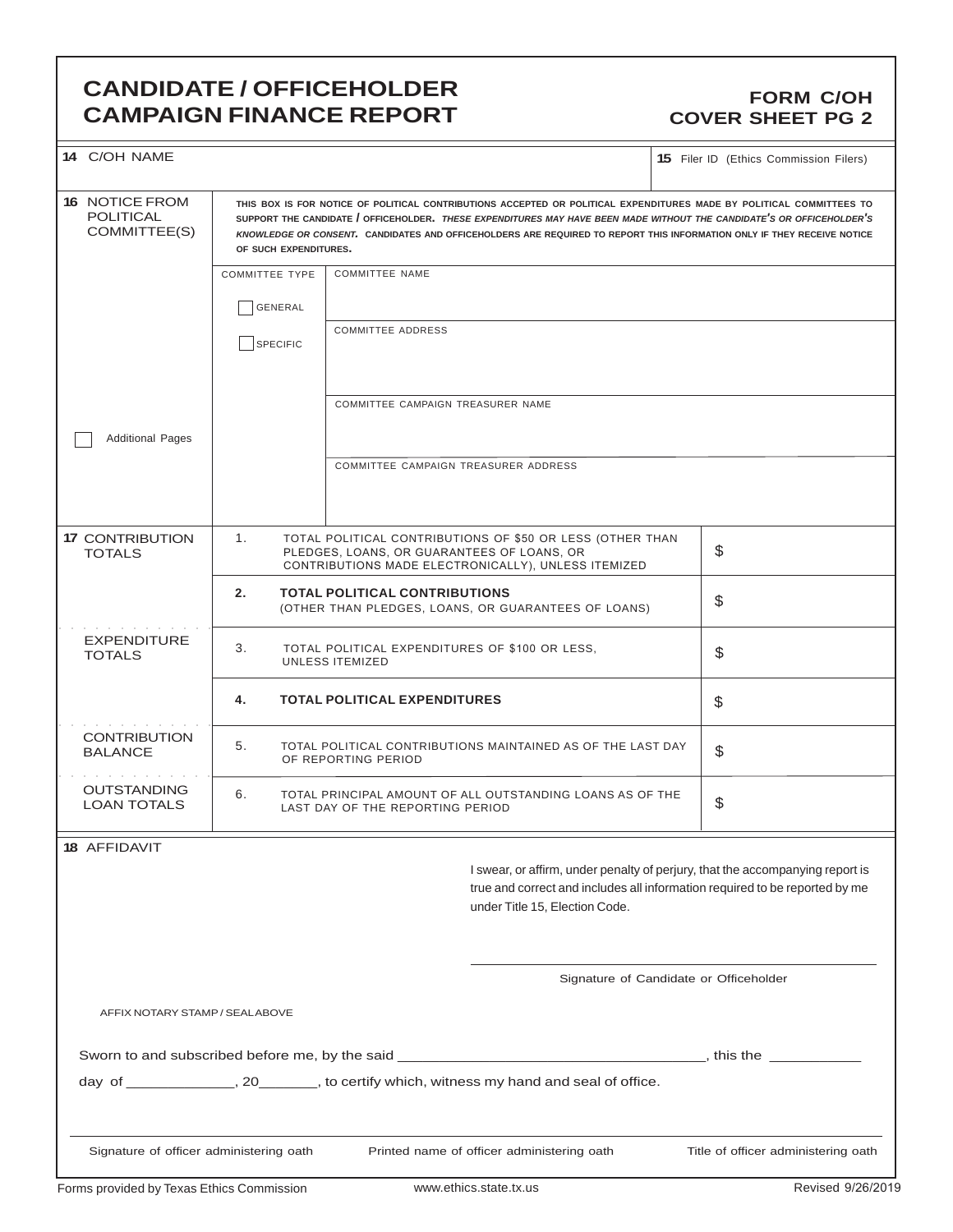### **CANDIDATE / OFFICEHOLDER CAMPAIGN FINANCE REPORT**

### **FORM C/OH COVER SHEET PG 2**

| 14 C/OH NAME                                              |                                                                                |                                            |                                                                                                                  | <b>15</b> Filer ID (Ethics Commission Filers)                                                                                                                                                                                                                                                                                                                           |  |
|-----------------------------------------------------------|--------------------------------------------------------------------------------|--------------------------------------------|------------------------------------------------------------------------------------------------------------------|-------------------------------------------------------------------------------------------------------------------------------------------------------------------------------------------------------------------------------------------------------------------------------------------------------------------------------------------------------------------------|--|
| <b>16 NOTICE FROM</b><br><b>POLITICAL</b><br>COMMITTEE(S) | OF SUCH EXPENDITURES.                                                          |                                            |                                                                                                                  | THIS BOX IS FOR NOTICE OF POLITICAL CONTRIBUTIONS ACCEPTED OR POLITICAL EXPENDITURES MADE BY POLITICAL COMMITTEES TO<br>SUPPORT THE CANDIDATE / OFFICEHOLDER. THESE EXPENDITURES MAY HAVE BEEN MADE WITHOUT THE CANDIDATE'S OR OFFICEHOLDER'S<br>KNOWLEDGE OR CONSENT. CANDIDATES AND OFFICEHOLDERS ARE REQUIRED TO REPORT THIS INFORMATION ONLY IF THEY RECEIVE NOTICE |  |
|                                                           | <b>COMMITTEE TYPE</b>                                                          | <b>COMMITTEE NAME</b>                      |                                                                                                                  |                                                                                                                                                                                                                                                                                                                                                                         |  |
|                                                           | GENERAL                                                                        |                                            |                                                                                                                  |                                                                                                                                                                                                                                                                                                                                                                         |  |
|                                                           | SPECIFIC                                                                       | <b>COMMITTEE ADDRESS</b>                   |                                                                                                                  |                                                                                                                                                                                                                                                                                                                                                                         |  |
|                                                           |                                                                                | COMMITTEE CAMPAIGN TREASURER NAME          |                                                                                                                  |                                                                                                                                                                                                                                                                                                                                                                         |  |
| <b>Additional Pages</b>                                   |                                                                                |                                            |                                                                                                                  |                                                                                                                                                                                                                                                                                                                                                                         |  |
|                                                           |                                                                                | COMMITTEE CAMPAIGN TREASURER ADDRESS       |                                                                                                                  |                                                                                                                                                                                                                                                                                                                                                                         |  |
| <b>17 CONTRIBUTION</b><br><b>TOTALS</b>                   | 1.                                                                             | PLEDGES, LOANS, OR GUARANTEES OF LOANS, OR | TOTAL POLITICAL CONTRIBUTIONS OF \$50 OR LESS (OTHER THAN<br>CONTRIBUTIONS MADE ELECTRONICALLY), UNLESS ITEMIZED | \$                                                                                                                                                                                                                                                                                                                                                                      |  |
|                                                           | 2.                                                                             | <b>TOTAL POLITICAL CONTRIBUTIONS</b>       | (OTHER THAN PLEDGES, LOANS, OR GUARANTEES OF LOANS)                                                              | \$                                                                                                                                                                                                                                                                                                                                                                      |  |
| <b>EXPENDITURE</b><br><b>TOTALS</b>                       | 3.<br>TOTAL POLITICAL EXPENDITURES OF \$100 OR LESS,<br><b>UNLESS ITEMIZED</b> |                                            |                                                                                                                  | \$                                                                                                                                                                                                                                                                                                                                                                      |  |
|                                                           | 4.                                                                             | <b>TOTAL POLITICAL EXPENDITURES</b>        | \$                                                                                                               |                                                                                                                                                                                                                                                                                                                                                                         |  |
| <b>CONTRIBUTION</b><br><b>BALANCE</b>                     | 5.                                                                             | OF REPORTING PERIOD                        | TOTAL POLITICAL CONTRIBUTIONS MAINTAINED AS OF THE LAST DAY                                                      | \$                                                                                                                                                                                                                                                                                                                                                                      |  |
| <b>OUTSTANDING</b><br><b>LOAN TOTALS</b>                  | 6.                                                                             | LAST DAY OF THE REPORTING PERIOD           | TOTAL PRINCIPAL AMOUNT OF ALL OUTSTANDING LOANS AS OF THE                                                        | \$                                                                                                                                                                                                                                                                                                                                                                      |  |
| <b>18 AFFIDAVIT</b>                                       |                                                                                |                                            |                                                                                                                  |                                                                                                                                                                                                                                                                                                                                                                         |  |
|                                                           |                                                                                |                                            | under Title 15, Election Code.                                                                                   | I swear, or affirm, under penalty of perjury, that the accompanying report is<br>true and correct and includes all information required to be reported by me                                                                                                                                                                                                            |  |
|                                                           |                                                                                |                                            |                                                                                                                  | Signature of Candidate or Officeholder                                                                                                                                                                                                                                                                                                                                  |  |
| AFFIX NOTARY STAMP / SEALABOVE                            |                                                                                |                                            |                                                                                                                  |                                                                                                                                                                                                                                                                                                                                                                         |  |
|                                                           |                                                                                |                                            |                                                                                                                  |                                                                                                                                                                                                                                                                                                                                                                         |  |
|                                                           |                                                                                |                                            | day of ______________, 20________, to certify which, witness my hand and seal of office.                         |                                                                                                                                                                                                                                                                                                                                                                         |  |
| Signature of officer administering oath                   |                                                                                |                                            | Printed name of officer administering oath                                                                       | Title of officer administering oath                                                                                                                                                                                                                                                                                                                                     |  |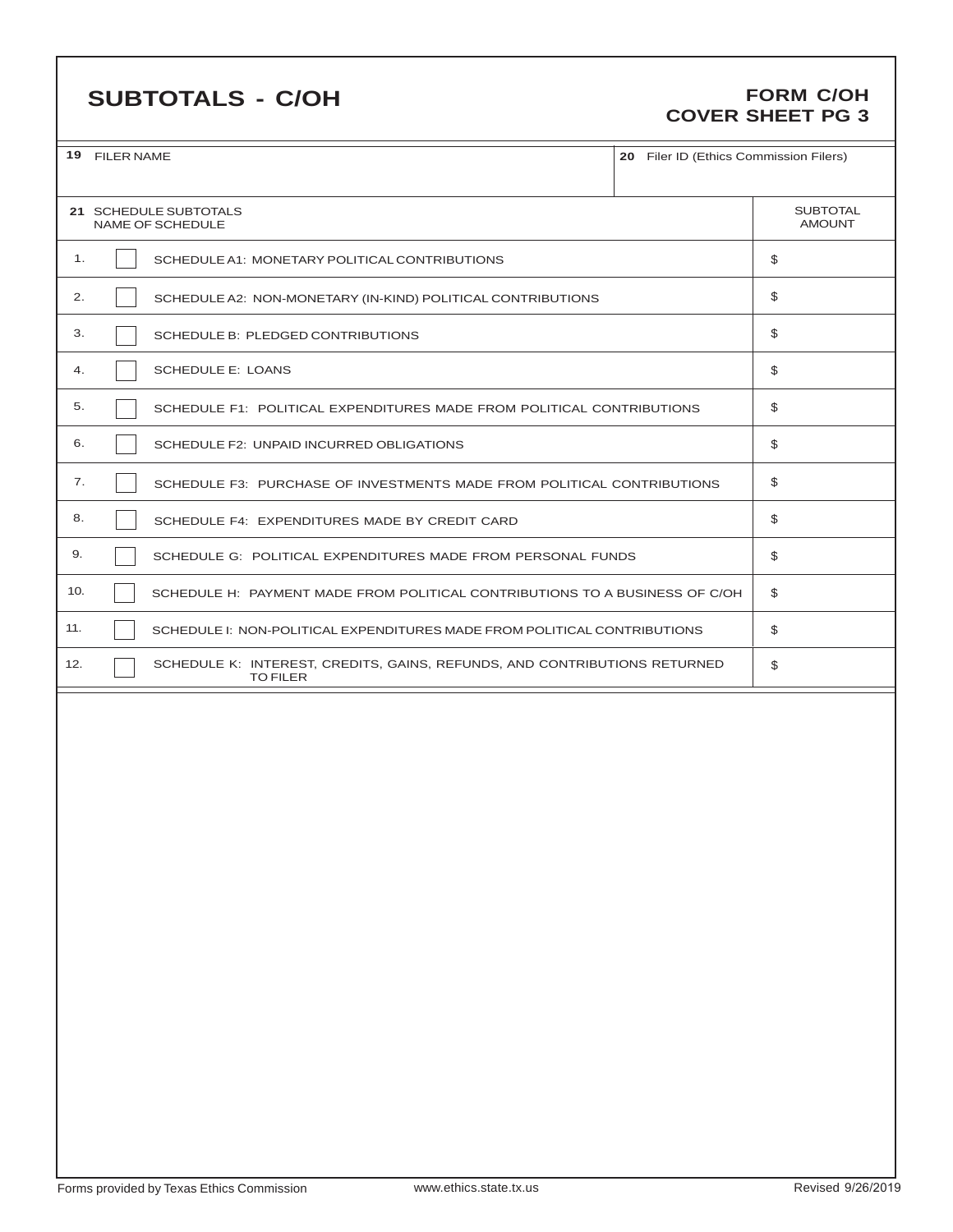# **SUBTOTALS - C/OH**

### **FORM C/OH COVER SHEET PG 3**

|     | 19 FILER NAME<br>20 Filer ID (Ethics Commission Filers)                                      |    |                                  |  |  |  |  |
|-----|----------------------------------------------------------------------------------------------|----|----------------------------------|--|--|--|--|
|     | 21 SCHEDULE SUBTOTALS<br>NAME OF SCHEDULE                                                    |    | <b>SUBTOTAL</b><br><b>AMOUNT</b> |  |  |  |  |
| 1.  | SCHEDULE A1: MONETARY POLITICAL CONTRIBUTIONS                                                |    | \$                               |  |  |  |  |
| 2.  | SCHEDULE A2: NON-MONETARY (IN-KIND) POLITICAL CONTRIBUTIONS                                  |    | \$                               |  |  |  |  |
| 3.  | SCHEDULE B: PLEDGED CONTRIBUTIONS                                                            |    | \$                               |  |  |  |  |
| 4.  | <b>SCHEDULE E: LOANS</b>                                                                     |    | \$                               |  |  |  |  |
| 5.  | SCHEDULE F1: POLITICAL EXPENDITURES MADE FROM POLITICAL CONTRIBUTIONS                        |    | \$                               |  |  |  |  |
| 6.  | SCHEDULE F2: UNPAID INCURRED OBLIGATIONS                                                     | \$ |                                  |  |  |  |  |
| 7.  | SCHEDULE F3: PURCHASE OF INVESTMENTS MADE FROM POLITICAL CONTRIBUTIONS                       |    | \$                               |  |  |  |  |
| 8.  | SCHEDULE F4: EXPENDITURES MADE BY CREDIT CARD                                                | \$ |                                  |  |  |  |  |
| 9.  | SCHEDULE G: POLITICAL EXPENDITURES MADE FROM PERSONAL FUNDS                                  |    | \$                               |  |  |  |  |
| 10. | SCHEDULE H: PAYMENT MADE FROM POLITICAL CONTRIBUTIONS TO A BUSINESS OF C/OH                  |    | \$                               |  |  |  |  |
| 11. | SCHEDULE I: NON-POLITICAL EXPENDITURES MADE FROM POLITICAL CONTRIBUTIONS                     |    | \$                               |  |  |  |  |
| 12. | SCHEDULE K: INTEREST, CREDITS, GAINS, REFUNDS, AND CONTRIBUTIONS RETURNED<br><b>TO FILER</b> |    | \$                               |  |  |  |  |
|     |                                                                                              |    |                                  |  |  |  |  |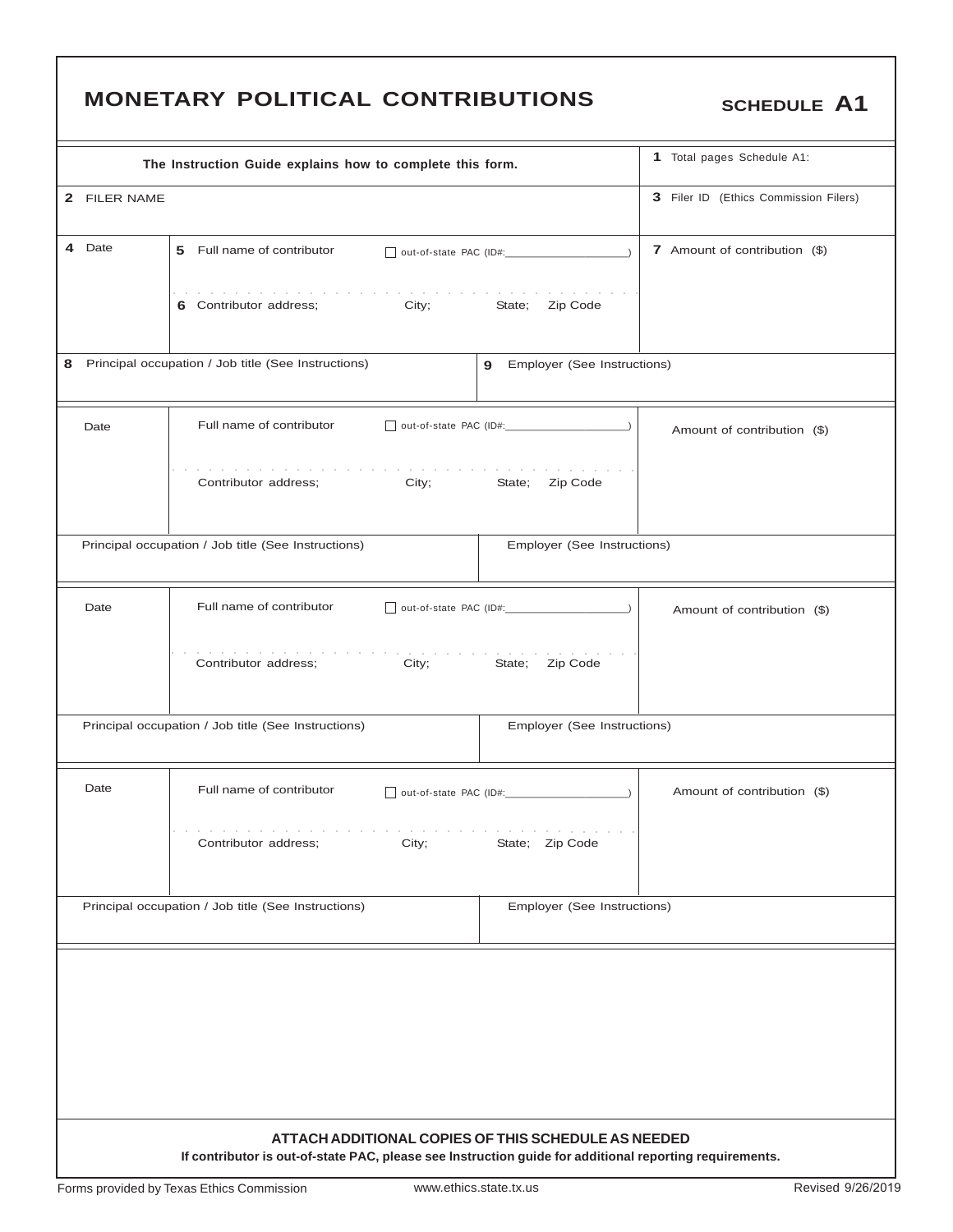|                                                          |                                                                                                         | <b>MONETARY POLITICAL CONTRIBUTIONS</b>                                                  |                               | <b>SCHEDULE A1</b>                    |  |  |  |
|----------------------------------------------------------|---------------------------------------------------------------------------------------------------------|------------------------------------------------------------------------------------------|-------------------------------|---------------------------------------|--|--|--|
|                                                          |                                                                                                         | The Instruction Guide explains how to complete this form.                                |                               | 1 Total pages Schedule A1:            |  |  |  |
|                                                          | 2 FILER NAME                                                                                            |                                                                                          |                               | 3 Filer ID (Ethics Commission Filers) |  |  |  |
|                                                          | 4 Date                                                                                                  | 5 Full name of contributor                                                               | 7 Amount of contribution (\$) |                                       |  |  |  |
|                                                          |                                                                                                         | the second contract of the second contract of the second<br>6 Contributor address; City; | State; Zip Code               |                                       |  |  |  |
| Principal occupation / Job title (See Instructions)<br>8 | Employer (See Instructions)                                                                             |                                                                                          |                               |                                       |  |  |  |
|                                                          | Date                                                                                                    | Full name of contributor<br>out-of-state PAC (ID#:                                       |                               | Amount of contribution (\$)           |  |  |  |
|                                                          |                                                                                                         | Contributor address;<br>City;                                                            | Zip Code<br>State;            |                                       |  |  |  |
|                                                          |                                                                                                         | Principal occupation / Job title (See Instructions)                                      | Employer (See Instructions)   |                                       |  |  |  |
|                                                          | Date                                                                                                    | Full name of contributor<br>out-of-state PAC (ID#:                                       |                               | Amount of contribution (\$)           |  |  |  |
|                                                          |                                                                                                         | Contributor address;<br>City;                                                            | State;<br>Zip Code            |                                       |  |  |  |
|                                                          |                                                                                                         | Principal occupation / Job title (See Instructions)                                      | Employer (See Instructions)   |                                       |  |  |  |
|                                                          | Date                                                                                                    | Full name of contributor                                                                 |                               | Amount of contribution (\$)           |  |  |  |
|                                                          |                                                                                                         | Contributor address:<br>City;                                                            | State; Zip Code               |                                       |  |  |  |
|                                                          |                                                                                                         | Principal occupation / Job title (See Instructions)                                      | Employer (See Instructions)   |                                       |  |  |  |
|                                                          |                                                                                                         | ATTACH ADDITIONAL COPIES OF THIS SCHEDULE AS NEEDED                                      |                               |                                       |  |  |  |
|                                                          | If contributor is out-of-state PAC, please see Instruction guide for additional reporting requirements. |                                                                                          |                               |                                       |  |  |  |

٦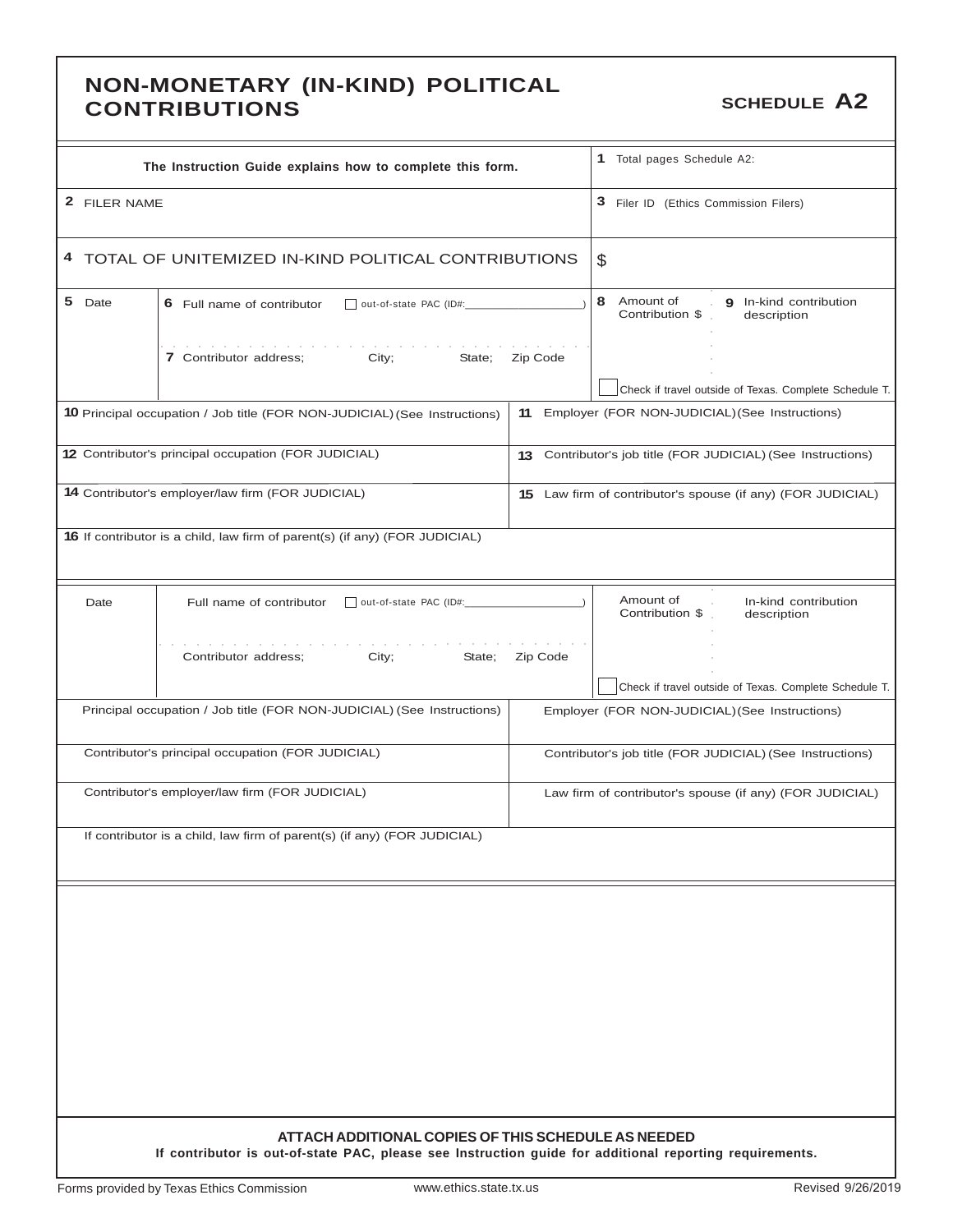### **NON-MONETARY (IN-KIND) POLITICAL CONTRIBUTIONS CONTRIBUTIONS SCHEDULE A2**

| The Instruction Guide explains how to complete this form.                                                                                                                                                                                                                  |          | 1 Total pages Schedule A2:                                                                               |
|----------------------------------------------------------------------------------------------------------------------------------------------------------------------------------------------------------------------------------------------------------------------------|----------|----------------------------------------------------------------------------------------------------------|
| 2 FILER NAME                                                                                                                                                                                                                                                               |          | 3 Filer ID (Ethics Commission Filers)                                                                    |
| 4 TOTAL OF UNITEMIZED IN-KIND POLITICAL CONTRIBUTIONS                                                                                                                                                                                                                      | \$       |                                                                                                          |
| 5 Date<br>6 Full name of contributor                                                                                                                                                                                                                                       |          | 8 Amount of<br>9 In-kind contribution<br>Contribution \$<br>description                                  |
| the control of the control of the control of the control of the control of the control of the control of the control of the control of the control of the control of the control of the control of the control of the control<br>7 Contributor address;<br>City;<br>State; | Zip Code |                                                                                                          |
| <b>10</b> Principal occupation / Job title (FOR NON-JUDICIAL) (See Instructions)                                                                                                                                                                                           | 11       | Check if travel outside of Texas. Complete Schedule T.<br>Employer (FOR NON-JUDICIAL) (See Instructions) |
|                                                                                                                                                                                                                                                                            |          |                                                                                                          |
| 12 Contributor's principal occupation (FOR JUDICIAL)                                                                                                                                                                                                                       |          | 13 Contributor's job title (FOR JUDICIAL) (See Instructions)                                             |
| 14 Contributor's employer/law firm (FOR JUDICIAL)                                                                                                                                                                                                                          |          | 15 Law firm of contributor's spouse (if any) (FOR JUDICIAL)                                              |
| <b>16</b> If contributor is a child, law firm of parent(s) (if any) (FOR JUDICIAL)                                                                                                                                                                                         |          |                                                                                                          |
| Date<br>Full name of contributor                                                                                                                                                                                                                                           |          | Amount of<br>In-kind contribution<br>$\mathcal{L}$<br>Contribution \$<br>description                     |
| Contributor address;<br>City;<br>State;                                                                                                                                                                                                                                    | Zip Code |                                                                                                          |
|                                                                                                                                                                                                                                                                            |          | Check if travel outside of Texas. Complete Schedule T.                                                   |
| Principal occupation / Job title (FOR NON-JUDICIAL) (See Instructions)                                                                                                                                                                                                     |          | Employer (FOR NON-JUDICIAL) (See Instructions)                                                           |
| Contributor's principal occupation (FOR JUDICIAL)                                                                                                                                                                                                                          |          | Contributor's job title (FOR JUDICIAL) (See Instructions)                                                |
| Contributor's employer/law firm (FOR JUDICIAL)                                                                                                                                                                                                                             |          | Law firm of contributor's spouse (if any) (FOR JUDICIAL)                                                 |
| If contributor is a child, law firm of parent(s) (if any) (FOR JUDICIAL)                                                                                                                                                                                                   |          |                                                                                                          |
|                                                                                                                                                                                                                                                                            |          |                                                                                                          |
|                                                                                                                                                                                                                                                                            |          |                                                                                                          |
|                                                                                                                                                                                                                                                                            |          |                                                                                                          |
|                                                                                                                                                                                                                                                                            |          |                                                                                                          |
|                                                                                                                                                                                                                                                                            |          |                                                                                                          |
|                                                                                                                                                                                                                                                                            |          |                                                                                                          |
|                                                                                                                                                                                                                                                                            |          |                                                                                                          |
| ATTACH ADDITIONAL COPIES OF THIS SCHEDULE AS NEEDED                                                                                                                                                                                                                        |          |                                                                                                          |
| If contributor is out-of-state PAC, please see Instruction guide for additional reporting requirements.                                                                                                                                                                    |          |                                                                                                          |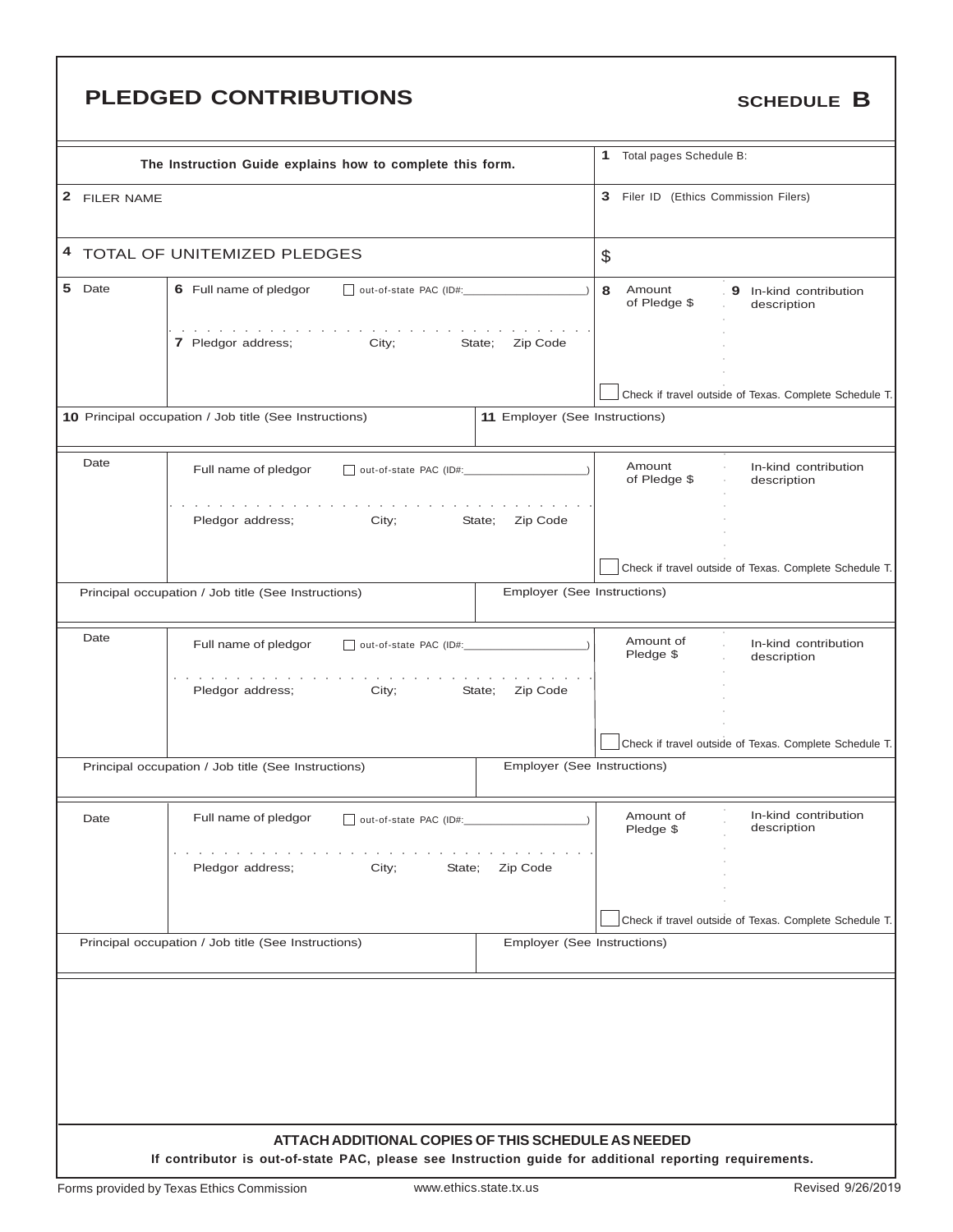# **PLEDGED CONTRIBUTIONS** SCHEDULE B

|              | The Instruction Guide explains how to complete this form.                                                                                                      |                                | $\mathbf{1}$<br>Total pages Schedule B: |                                                        |
|--------------|----------------------------------------------------------------------------------------------------------------------------------------------------------------|--------------------------------|-----------------------------------------|--------------------------------------------------------|
| 2 FILER NAME |                                                                                                                                                                |                                | 3 Filer ID (Ethics Commission Filers)   |                                                        |
|              | 4 TOTAL OF UNITEMIZED PLEDGES                                                                                                                                  |                                | \$                                      |                                                        |
| 5 Date       | 6 Full name of pledgor<br>out-of-state PAC (ID#:                                                                                                               | 8<br>Amount<br>of Pledge \$    | 9 In-kind contribution<br>description   |                                                        |
|              | 7 Pledgor address;<br>City;                                                                                                                                    | State;<br>Zip Code             |                                         |                                                        |
|              |                                                                                                                                                                |                                |                                         | Check if travel outside of Texas. Complete Schedule T. |
|              | 10 Principal occupation / Job title (See Instructions)                                                                                                         | 11 Employer (See Instructions) |                                         |                                                        |
| Date         | Full name of pledgor                                                                                                                                           |                                | Amount<br>of Pledge \$                  | In-kind contribution<br>description                    |
|              | Pledgor address;<br>City;                                                                                                                                      | State;<br>Zip Code             |                                         |                                                        |
|              |                                                                                                                                                                |                                |                                         | Check if travel outside of Texas. Complete Schedule T. |
|              | Principal occupation / Job title (See Instructions)                                                                                                            | Employer (See Instructions)    |                                         |                                                        |
| Date         | Full name of pledgor<br>out-of-state PAC (ID#:                                                                                                                 |                                | Amount of<br>Pledge \$                  | In-kind contribution<br>description                    |
|              | Pledgor address;<br>City;                                                                                                                                      | State;<br>Zip Code             |                                         |                                                        |
|              |                                                                                                                                                                |                                |                                         | Check if travel outside of Texas. Complete Schedule T. |
|              | Principal occupation / Job title (See Instructions)                                                                                                            | Employer (See Instructions)    |                                         |                                                        |
| Date         | Full name of pledgor<br>  out-of-state PAC (ID#:                                                                                                               |                                | Amount of<br>Pledge \$                  | In-kind contribution<br>description                    |
|              | Pledgor address;<br>City;<br>State;                                                                                                                            | Zip Code                       |                                         |                                                        |
|              |                                                                                                                                                                |                                |                                         | Check if travel outside of Texas. Complete Schedule T. |
|              | Principal occupation / Job title (See Instructions)                                                                                                            | Employer (See Instructions)    |                                         |                                                        |
|              |                                                                                                                                                                |                                |                                         |                                                        |
|              |                                                                                                                                                                |                                |                                         |                                                        |
|              |                                                                                                                                                                |                                |                                         |                                                        |
|              |                                                                                                                                                                |                                |                                         |                                                        |
|              | ATTACH ADDITIONAL COPIES OF THIS SCHEDULE AS NEEDED<br>If contributor is out-of-state PAC, please see Instruction guide for additional reporting requirements. |                                |                                         |                                                        |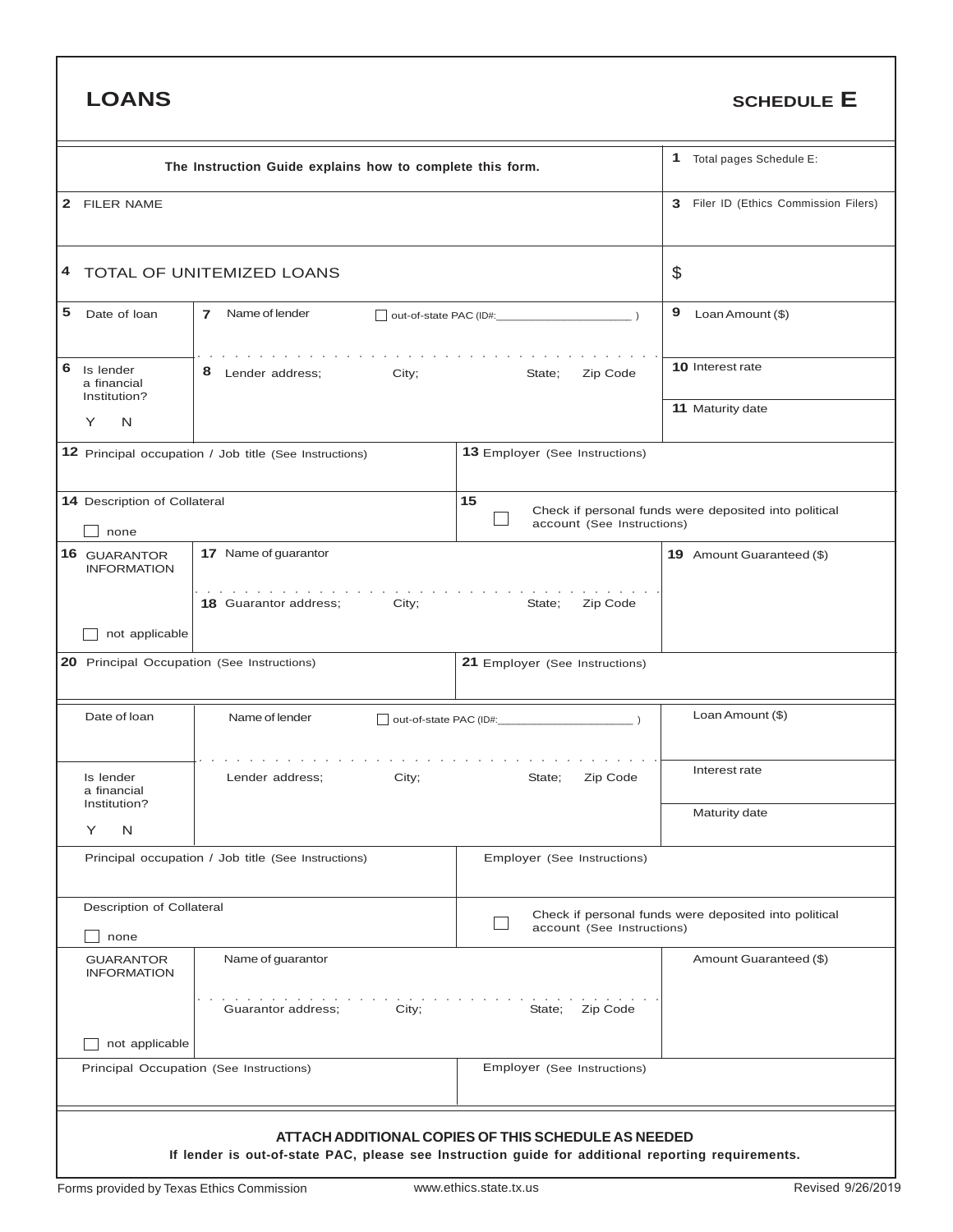| <b>LOANS</b>                                  |                                                                                                       |                                                     | <b>SCHEDULE E</b>                                     |
|-----------------------------------------------|-------------------------------------------------------------------------------------------------------|-----------------------------------------------------|-------------------------------------------------------|
|                                               | The Instruction Guide explains how to complete this form.                                             |                                                     | Total pages Schedule E:<br>1                          |
| $\mathbf{2}$<br><b>FILER NAME</b>             |                                                                                                       | Filer ID (Ethics Commission Filers)<br>3            |                                                       |
| 4                                             | TOTAL OF UNITEMIZED LOANS                                                                             |                                                     | \$                                                    |
| 5<br>Date of loan                             | Name of lender<br>$\overline{7}$                                                                      |                                                     | 9<br>Loan Amount (\$)                                 |
| 6<br>Is lender<br>a financial<br>Institution? | 8<br>City;<br>Lender address;                                                                         | State;<br>Zip Code                                  | 10 Interest rate                                      |
| N<br>Y                                        |                                                                                                       |                                                     | 11 Maturity date                                      |
|                                               | 12 Principal occupation / Job title (See Instructions)                                                |                                                     |                                                       |
| 14 Description of Collateral<br>none          |                                                                                                       | 15<br>account (See Instructions)                    | Check if personal funds were deposited into political |
| 16 GUARANTOR<br><b>INFORMATION</b>            | 17 Name of guarantor                                                                                  |                                                     | 19 Amount Guaranteed (\$)                             |
| not applicable                                | and the contract of the contract of the contract of the con-<br><b>18</b> Guarantor address;<br>City; | Zip Code<br>State;                                  |                                                       |
| 20 Principal Occupation (See Instructions)    |                                                                                                       | 21 Employer (See Instructions)                      |                                                       |
| Date of loan                                  | Name of lender                                                                                        |                                                     | Loan Amount (\$)                                      |
| Is lender<br>a financial<br>Institution?      | Lender address;<br>City;                                                                              | State;<br>Zip Code                                  | Interest rate                                         |
| Υ<br>N                                        |                                                                                                       |                                                     | Maturity date                                         |
|                                               | Principal occupation / Job title (See Instructions)                                                   | Employer (See Instructions)                         |                                                       |
| Description of Collateral<br>none             |                                                                                                       | account (See Instructions)                          | Check if personal funds were deposited into political |
| <b>GUARANTOR</b><br><b>INFORMATION</b>        | Name of guarantor                                                                                     |                                                     | Amount Guaranteed (\$)                                |
|                                               | City;<br>Guarantor address;                                                                           | State; Zip Code                                     |                                                       |
| not applicable                                | Principal Occupation (See Instructions)                                                               | Employer (See Instructions)                         |                                                       |
|                                               | If lender is out-of-state PAC, please see Instruction guide for additional reporting requirements.    | ATTACH ADDITIONAL COPIES OF THIS SCHEDULE AS NEEDED |                                                       |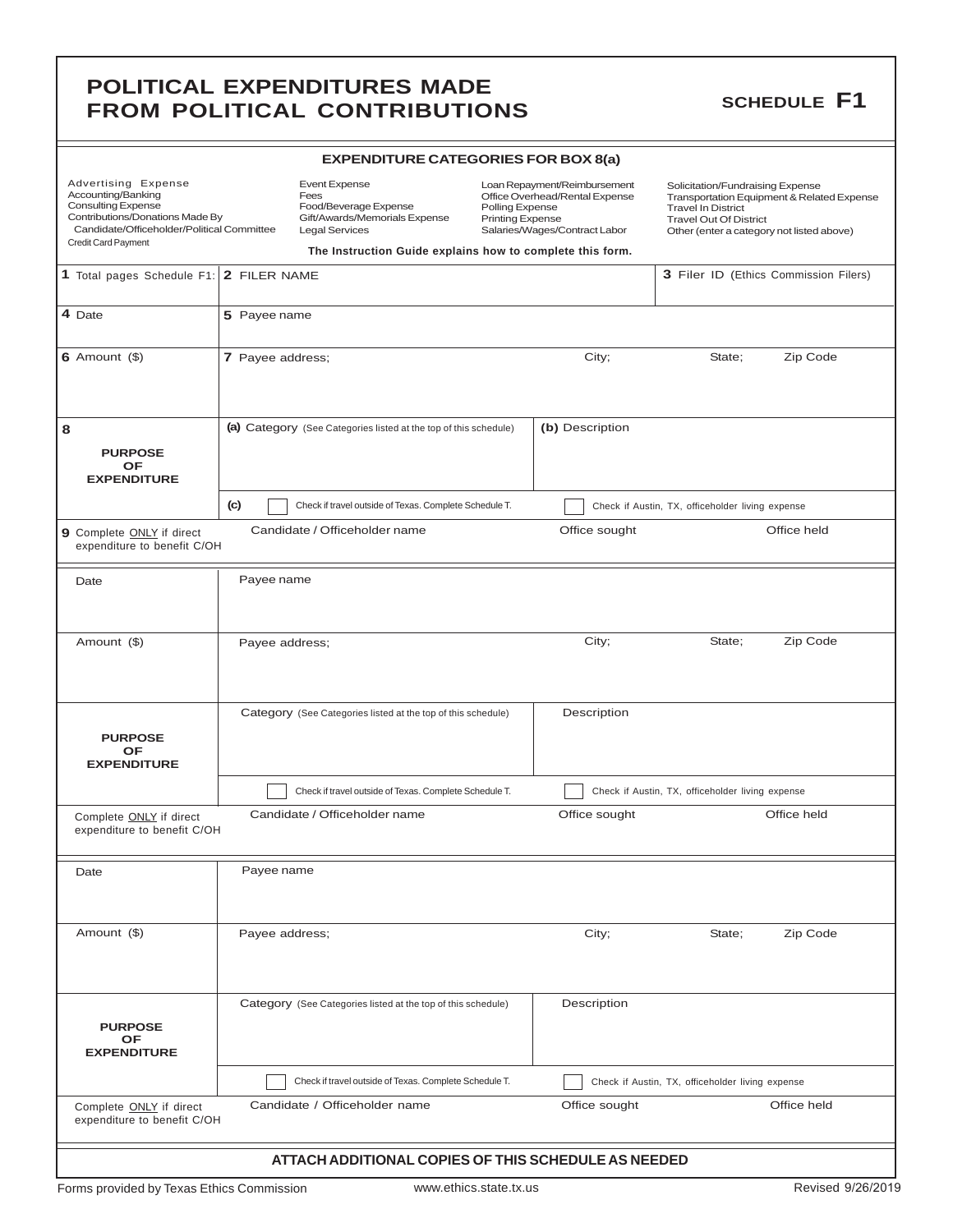### **POLITICAL EXPENDITURES MADE**<br> **EROM BOLITICAL CONTRIBUTIONS** SCHEDULE F1 **FROM POLITICAL CONTRIBUTIONS**

| <b>EXPENDITURE CATEGORIES FOR BOX 8(a)</b> |  |
|--------------------------------------------|--|
|--------------------------------------------|--|

| Advertising Expense<br>Event Expense<br>Accounting/Banking<br>Fees<br><b>Consulting Expense</b><br>Contributions/Donations Made By<br>Candidate/Officeholder/Political Committee<br><b>Legal Services</b><br>Credit Card Payment |                  | Food/Beverage Expense<br>Gift/Awards/Memorials Expense           | Loan Repayment/Reimbursement<br>Office Overhead/Rental Expense<br>Polling Expense<br><b>Printing Expense</b><br>Salaries/Wages/Contract Labor<br>The Instruction Guide explains how to complete this form. |                 | Solicitation/Fundraising Expense<br>Transportation Equipment & Related Expense<br><b>Travel In District</b><br><b>Travel Out Of District</b><br>Other (enter a category not listed above) |                                       |
|----------------------------------------------------------------------------------------------------------------------------------------------------------------------------------------------------------------------------------|------------------|------------------------------------------------------------------|------------------------------------------------------------------------------------------------------------------------------------------------------------------------------------------------------------|-----------------|-------------------------------------------------------------------------------------------------------------------------------------------------------------------------------------------|---------------------------------------|
| 1 Total pages Schedule F1: 2 FILER NAME                                                                                                                                                                                          |                  |                                                                  |                                                                                                                                                                                                            |                 |                                                                                                                                                                                           | 3 Filer ID (Ethics Commission Filers) |
| 4 Date                                                                                                                                                                                                                           | 5 Payee name     |                                                                  |                                                                                                                                                                                                            |                 |                                                                                                                                                                                           |                                       |
| $6$ Amount $($ )                                                                                                                                                                                                                 | 7 Payee address; |                                                                  |                                                                                                                                                                                                            | City;           | State;                                                                                                                                                                                    | Zip Code                              |
| 8<br><b>PURPOSE</b><br><b>OF</b><br><b>EXPENDITURE</b>                                                                                                                                                                           |                  | (a) Category (See Categories listed at the top of this schedule) |                                                                                                                                                                                                            | (b) Description |                                                                                                                                                                                           |                                       |
|                                                                                                                                                                                                                                  | (c)              | Check if travel outside of Texas. Complete Schedule T.           |                                                                                                                                                                                                            |                 | Check if Austin, TX, officeholder living expense                                                                                                                                          |                                       |
| 9 Complete ONLY if direct<br>expenditure to benefit C/OH                                                                                                                                                                         |                  | Candidate / Officeholder name                                    |                                                                                                                                                                                                            | Office sought   |                                                                                                                                                                                           | Office held                           |
| Date                                                                                                                                                                                                                             | Payee name       |                                                                  |                                                                                                                                                                                                            |                 |                                                                                                                                                                                           |                                       |
| Amount (\$)                                                                                                                                                                                                                      | Payee address;   |                                                                  |                                                                                                                                                                                                            | City;           | State;                                                                                                                                                                                    | Zip Code                              |
| <b>PURPOSE</b><br>OF<br><b>EXPENDITURE</b>                                                                                                                                                                                       |                  | Category (See Categories listed at the top of this schedule)     |                                                                                                                                                                                                            | Description     |                                                                                                                                                                                           |                                       |
|                                                                                                                                                                                                                                  |                  | Check if travel outside of Texas. Complete Schedule T.           |                                                                                                                                                                                                            |                 | Check if Austin, TX, officeholder living expense                                                                                                                                          |                                       |
| Complete ONLY if direct<br>expenditure to benefit C/OH                                                                                                                                                                           |                  | Candidate / Officeholder name                                    |                                                                                                                                                                                                            | Office sought   |                                                                                                                                                                                           | Office held                           |
| Date                                                                                                                                                                                                                             | Payee name       |                                                                  |                                                                                                                                                                                                            |                 |                                                                                                                                                                                           |                                       |
| Amount (\$)                                                                                                                                                                                                                      | Payee address;   |                                                                  |                                                                                                                                                                                                            | City;           | State;                                                                                                                                                                                    | Zip Code                              |
| <b>PURPOSE</b><br>OF<br><b>EXPENDITURE</b>                                                                                                                                                                                       |                  | Category (See Categories listed at the top of this schedule)     |                                                                                                                                                                                                            | Description     |                                                                                                                                                                                           |                                       |
|                                                                                                                                                                                                                                  |                  | Check if travel outside of Texas. Complete Schedule T.           |                                                                                                                                                                                                            |                 | Check if Austin, TX, officeholder living expense                                                                                                                                          |                                       |
| Complete ONLY if direct<br>expenditure to benefit C/OH                                                                                                                                                                           |                  | Candidate / Officeholder name                                    |                                                                                                                                                                                                            | Office sought   |                                                                                                                                                                                           | Office held                           |
|                                                                                                                                                                                                                                  |                  | ATTACH ADDITIONAL COPIES OF THIS SCHEDULE AS NEEDED              |                                                                                                                                                                                                            |                 |                                                                                                                                                                                           |                                       |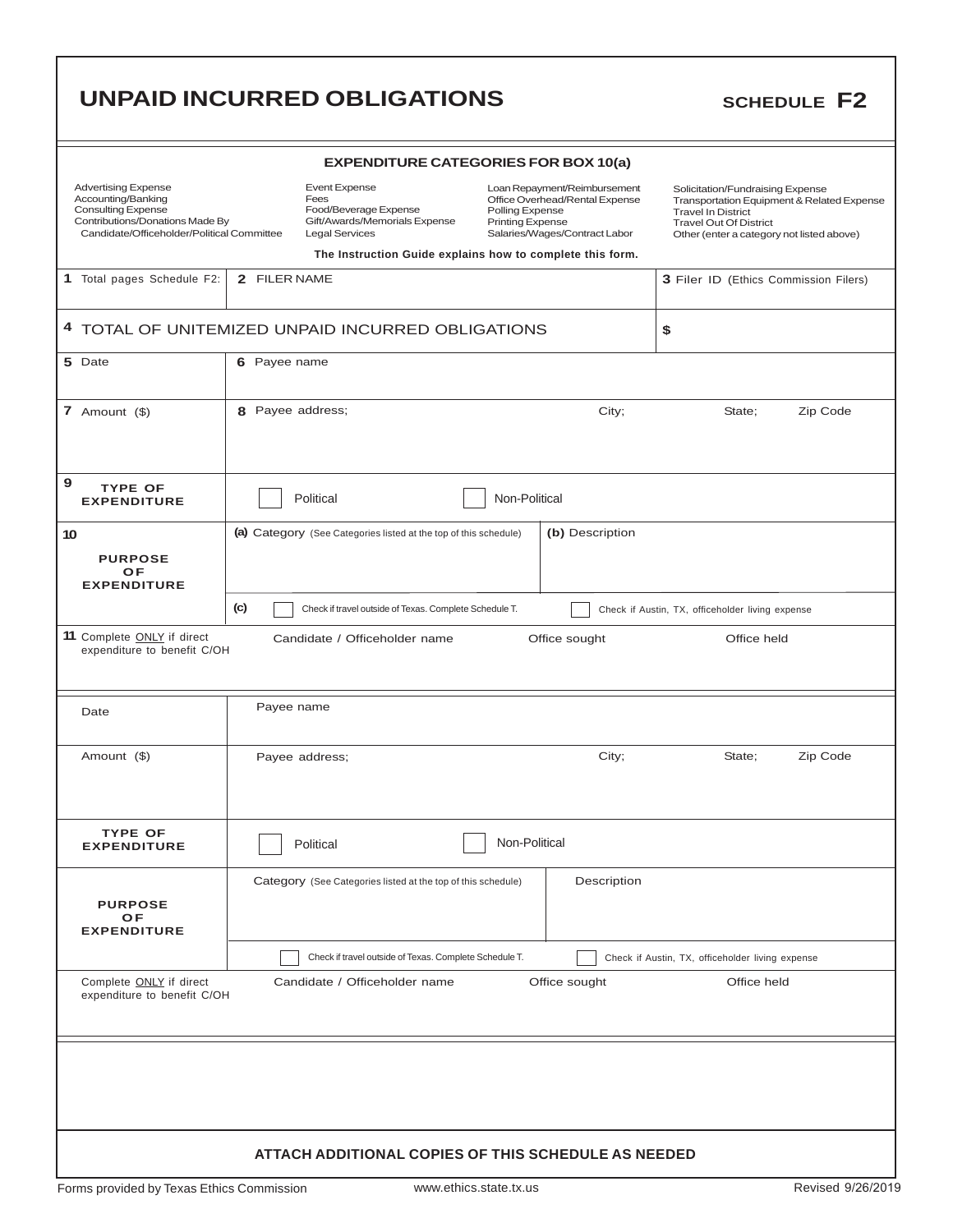|                                                                                                                                                                |                  | <b>EXPENDITURE CATEGORIES FOR BOX 10(a)</b>                                                                                                                                  |                                            |                                                                                                 |                                                                                                                                                                                           |          |
|----------------------------------------------------------------------------------------------------------------------------------------------------------------|------------------|------------------------------------------------------------------------------------------------------------------------------------------------------------------------------|--------------------------------------------|-------------------------------------------------------------------------------------------------|-------------------------------------------------------------------------------------------------------------------------------------------------------------------------------------------|----------|
| <b>Advertising Expense</b><br>Accounting/Banking<br><b>Consulting Expense</b><br>Contributions/Donations Made By<br>Candidate/Officeholder/Political Committee |                  | <b>Event Expense</b><br>Fees<br>Food/Beverage Expense<br>Gift/Awards/Memorials Expense<br><b>Legal Services</b><br>The Instruction Guide explains how to complete this form. | Polling Expense<br><b>Printing Expense</b> | Loan Repayment/Reimbursement<br>Office Overhead/Rental Expense<br>Salaries/Wages/Contract Labor | Solicitation/Fundraising Expense<br>Transportation Equipment & Related Expense<br><b>Travel In District</b><br><b>Travel Out Of District</b><br>Other (enter a category not listed above) |          |
| 1 Total pages Schedule F2:                                                                                                                                     | 2 FILER NAME     |                                                                                                                                                                              |                                            |                                                                                                 | 3 Filer ID (Ethics Commission Filers)                                                                                                                                                     |          |
|                                                                                                                                                                |                  |                                                                                                                                                                              |                                            |                                                                                                 |                                                                                                                                                                                           |          |
|                                                                                                                                                                |                  | 4 TOTAL OF UNITEMIZED UNPAID INCURRED OBLIGATIONS                                                                                                                            |                                            |                                                                                                 | \$                                                                                                                                                                                        |          |
| 5 Date                                                                                                                                                         | 6 Payee name     |                                                                                                                                                                              |                                            |                                                                                                 |                                                                                                                                                                                           |          |
| 7 Amount $(\$)$                                                                                                                                                | 8 Payee address; |                                                                                                                                                                              |                                            | City;                                                                                           | State;                                                                                                                                                                                    | Zip Code |
| 9<br><b>TYPE OF</b><br><b>EXPENDITURE</b>                                                                                                                      |                  | Political                                                                                                                                                                    | Non-Political                              |                                                                                                 |                                                                                                                                                                                           |          |
| 10<br><b>PURPOSE</b><br>OF<br><b>EXPENDITURE</b>                                                                                                               |                  | (a) Category (See Categories listed at the top of this schedule)                                                                                                             |                                            | (b) Description                                                                                 |                                                                                                                                                                                           |          |
|                                                                                                                                                                | (c)              | Check if travel outside of Texas. Complete Schedule T.                                                                                                                       |                                            |                                                                                                 | Check if Austin, TX, officeholder living expense                                                                                                                                          |          |
| 11 Complete ONLY if direct<br>expenditure to benefit C/OH<br>Date                                                                                              | Payee name       | Candidate / Officeholder name                                                                                                                                                |                                            | Office sought                                                                                   | Office held                                                                                                                                                                               |          |
| Amount (\$)                                                                                                                                                    |                  | Payee address;                                                                                                                                                               |                                            | City;                                                                                           | State;                                                                                                                                                                                    | Zip Code |
| <b>TYPE OF</b><br><b>EXPENDITURE</b>                                                                                                                           |                  | Political                                                                                                                                                                    | Non-Political                              |                                                                                                 |                                                                                                                                                                                           |          |
| <b>PURPOSE</b><br>OF<br><b>EXPENDITURE</b>                                                                                                                     |                  | Category (See Categories listed at the top of this schedule)                                                                                                                 |                                            | Description                                                                                     |                                                                                                                                                                                           |          |
|                                                                                                                                                                |                  | Check if travel outside of Texas. Complete Schedule T.                                                                                                                       |                                            |                                                                                                 | Check if Austin, TX, officeholder living expense                                                                                                                                          |          |
| Complete ONLY if direct<br>expenditure to benefit C/OH                                                                                                         |                  | Candidate / Officeholder name                                                                                                                                                |                                            | Office sought                                                                                   | Office held                                                                                                                                                                               |          |
|                                                                                                                                                                |                  | <b>ATTACH ADDITIONAL COPIES OF THIS SCHEDULE AS NEEDED</b>                                                                                                                   |                                            |                                                                                                 |                                                                                                                                                                                           |          |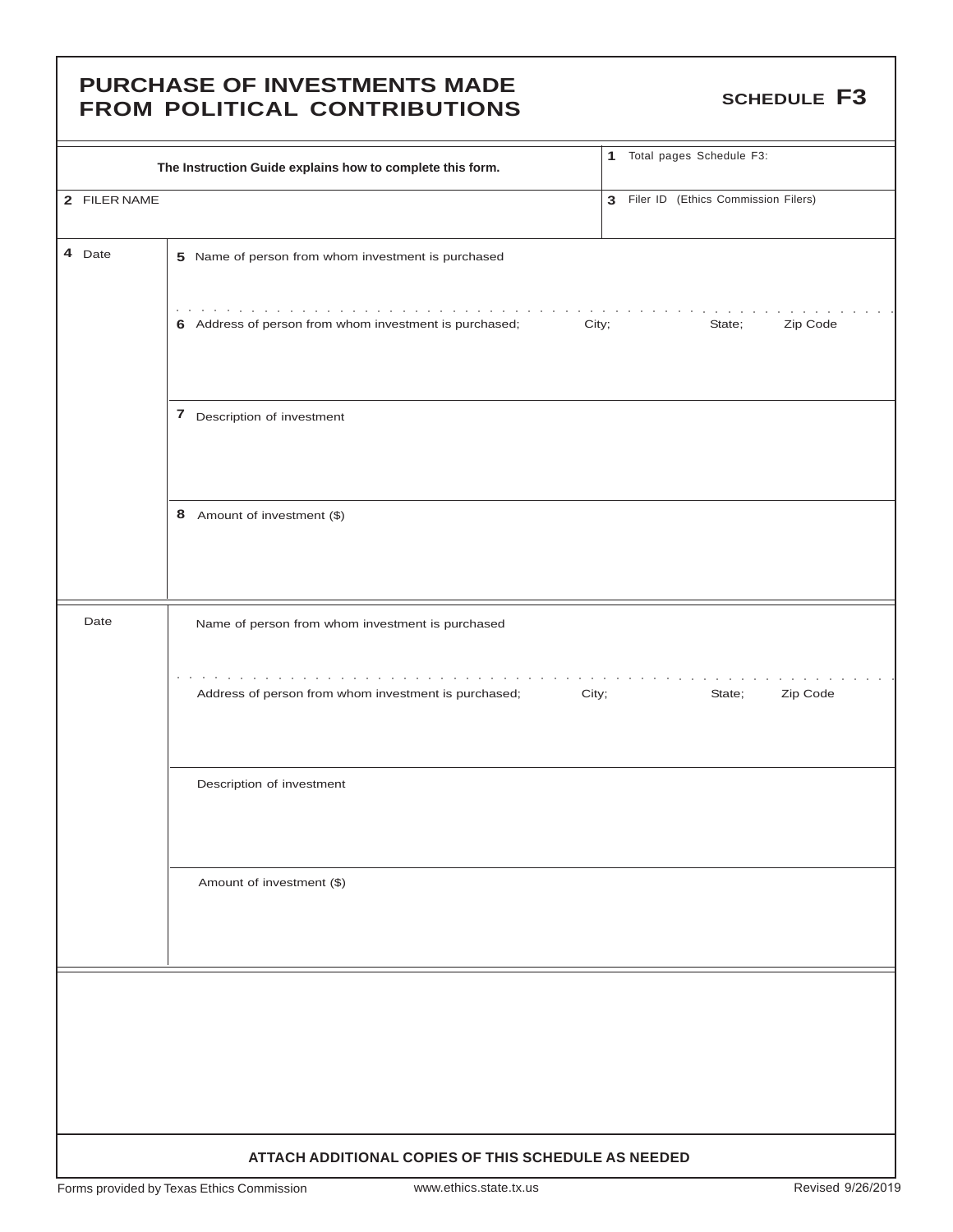### **PURCHASE OF INVESTMENTS MADE** FUNCTIFICAL OF INVESTINENTS INFIDE

|                                                     | The Instruction Guide explains how to complete this form.                                                 | 1 Total pages Schedule F3:            |  |  |  |  |
|-----------------------------------------------------|-----------------------------------------------------------------------------------------------------------|---------------------------------------|--|--|--|--|
| 2 FILER NAME                                        |                                                                                                           | 3 Filer ID (Ethics Commission Filers) |  |  |  |  |
| 4 Date                                              | 5 Name of person from whom investment is purchased                                                        |                                       |  |  |  |  |
|                                                     | the contract of the contract of the contract of<br>6 Address of person from whom investment is purchased; | State;<br>Zip Code                    |  |  |  |  |
|                                                     | City;                                                                                                     |                                       |  |  |  |  |
|                                                     | 7 Description of investment                                                                               |                                       |  |  |  |  |
|                                                     | 8 Amount of investment (\$)                                                                               |                                       |  |  |  |  |
|                                                     |                                                                                                           |                                       |  |  |  |  |
| Date                                                | Name of person from whom investment is purchased                                                          |                                       |  |  |  |  |
|                                                     | $\sim$ $\sim$ $\sim$<br>and the company<br>Address of person from whom investment is purchased;<br>City;  | Zip Code<br>State;                    |  |  |  |  |
|                                                     | Description of investment                                                                                 |                                       |  |  |  |  |
|                                                     | Amount of investment (\$)                                                                                 |                                       |  |  |  |  |
|                                                     |                                                                                                           |                                       |  |  |  |  |
|                                                     |                                                                                                           |                                       |  |  |  |  |
|                                                     |                                                                                                           |                                       |  |  |  |  |
|                                                     |                                                                                                           |                                       |  |  |  |  |
| ATTACH ADDITIONAL COPIES OF THIS SCHEDULE AS NEEDED |                                                                                                           |                                       |  |  |  |  |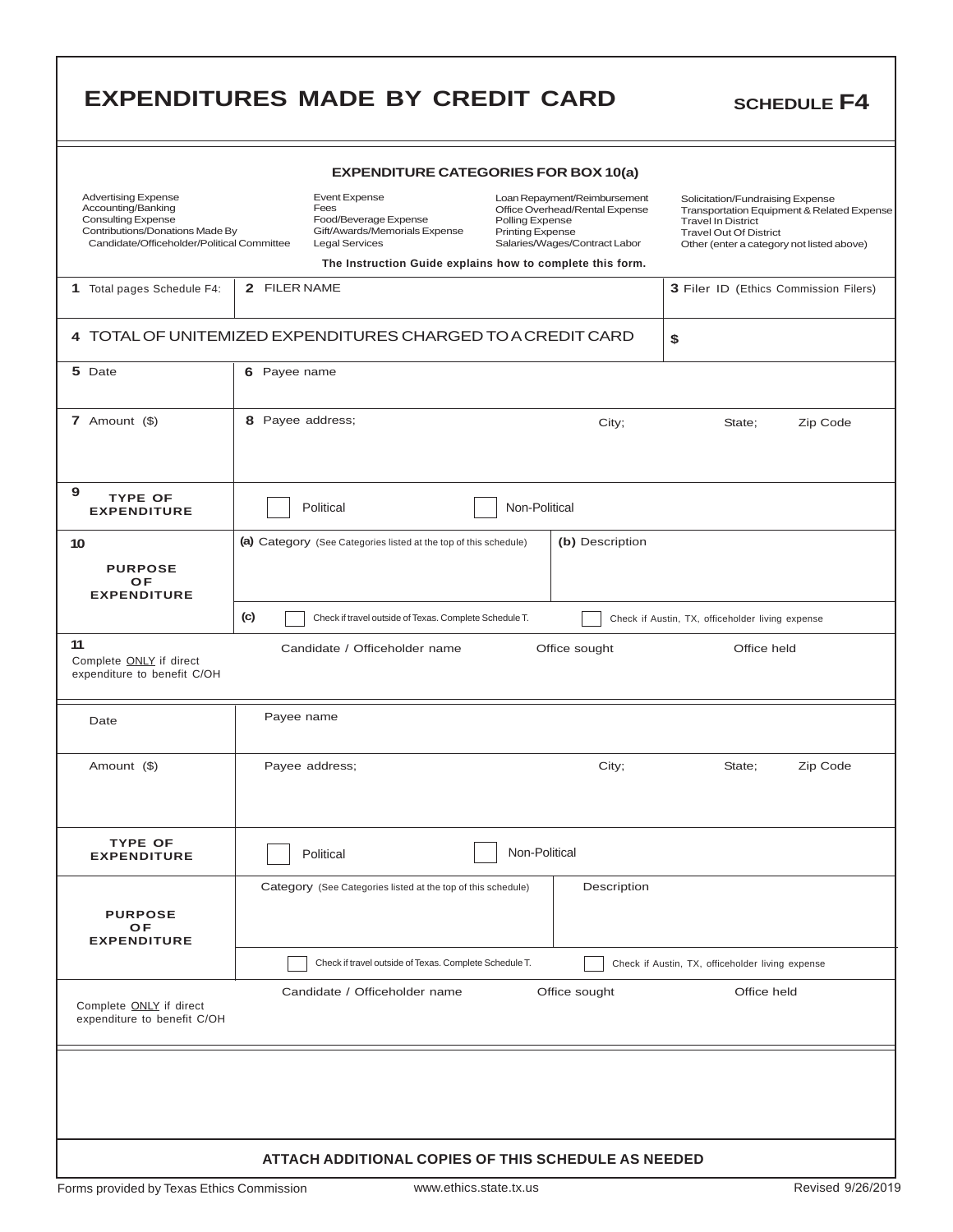|                                                                                                                                                                | <b>EXPENDITURES MADE BY CREDIT CARD</b>                                                                                           |                                                                                                                                                                                                            | <b>SCHEDULE F4</b>                                                                                                                                                                        |  |  |  |
|----------------------------------------------------------------------------------------------------------------------------------------------------------------|-----------------------------------------------------------------------------------------------------------------------------------|------------------------------------------------------------------------------------------------------------------------------------------------------------------------------------------------------------|-------------------------------------------------------------------------------------------------------------------------------------------------------------------------------------------|--|--|--|
| <b>EXPENDITURE CATEGORIES FOR BOX 10(a)</b>                                                                                                                    |                                                                                                                                   |                                                                                                                                                                                                            |                                                                                                                                                                                           |  |  |  |
| <b>Advertising Expense</b><br>Accounting/Banking<br><b>Consulting Expense</b><br>Contributions/Donations Made By<br>Candidate/Officeholder/Political Committee | <b>Event Expense</b><br>Fees<br>Food/Beverage Expense<br>Gift/Awards/Memorials Expense<br><b>Legal Services</b>                   | Loan Repayment/Reimbursement<br>Office Overhead/Rental Expense<br>Polling Expense<br><b>Printing Expense</b><br>Salaries/Wages/Contract Labor<br>The Instruction Guide explains how to complete this form. | Solicitation/Fundraising Expense<br>Transportation Equipment & Related Expense<br><b>Travel In District</b><br><b>Travel Out Of District</b><br>Other (enter a category not listed above) |  |  |  |
| 1 Total pages Schedule F4:                                                                                                                                     | 2 FILER NAME                                                                                                                      |                                                                                                                                                                                                            | 3 Filer ID (Ethics Commission Filers)                                                                                                                                                     |  |  |  |
| 4 TOTAL OF UNITEMIZED EXPENDITURES CHARGED TO A CREDIT CARD<br>\$                                                                                              |                                                                                                                                   |                                                                                                                                                                                                            |                                                                                                                                                                                           |  |  |  |
| 5 Date                                                                                                                                                         | 6 Payee name                                                                                                                      |                                                                                                                                                                                                            |                                                                                                                                                                                           |  |  |  |
| 7 Amount $(\$)$                                                                                                                                                | 8 Payee address;                                                                                                                  | City;                                                                                                                                                                                                      | Zip Code<br>State;                                                                                                                                                                        |  |  |  |
| 9<br><b>TYPE OF</b><br><b>EXPENDITURE</b>                                                                                                                      | Political                                                                                                                         | Non-Political                                                                                                                                                                                              |                                                                                                                                                                                           |  |  |  |
| 10<br><b>PURPOSE</b><br>OF<br><b>EXPENDITURE</b>                                                                                                               | (a) Category (See Categories listed at the top of this schedule)<br>(c)<br>Check if travel outside of Texas. Complete Schedule T. | (b) Description                                                                                                                                                                                            |                                                                                                                                                                                           |  |  |  |
| 11<br>Complete <b>ONLY</b> if direct<br>expenditure to benefit C/OH<br>Date                                                                                    | Candidate / Officeholder name<br>Payee name                                                                                       | Office sought                                                                                                                                                                                              | Office held                                                                                                                                                                               |  |  |  |
| Amount (\$)                                                                                                                                                    | Payee address;                                                                                                                    | City;                                                                                                                                                                                                      | State;<br>Zip Code                                                                                                                                                                        |  |  |  |
| <b>TYPE OF</b><br><b>EXPENDITURE</b>                                                                                                                           | Political                                                                                                                         | Non-Political                                                                                                                                                                                              |                                                                                                                                                                                           |  |  |  |
| <b>PURPOSE</b><br>OF<br><b>EXPENDITURE</b>                                                                                                                     | Category (See Categories listed at the top of this schedule)                                                                      | Description                                                                                                                                                                                                |                                                                                                                                                                                           |  |  |  |
|                                                                                                                                                                | Check if travel outside of Texas. Complete Schedule T.                                                                            |                                                                                                                                                                                                            | Check if Austin, TX, officeholder living expense                                                                                                                                          |  |  |  |
| Complete ONLY if direct<br>expenditure to benefit C/OH                                                                                                         | Candidate / Officeholder name                                                                                                     | Office sought                                                                                                                                                                                              | Office held                                                                                                                                                                               |  |  |  |
|                                                                                                                                                                |                                                                                                                                   |                                                                                                                                                                                                            |                                                                                                                                                                                           |  |  |  |
|                                                                                                                                                                | ATTACH ADDITIONAL COPIES OF THIS SCHEDULE AS NEEDED                                                                               |                                                                                                                                                                                                            |                                                                                                                                                                                           |  |  |  |

г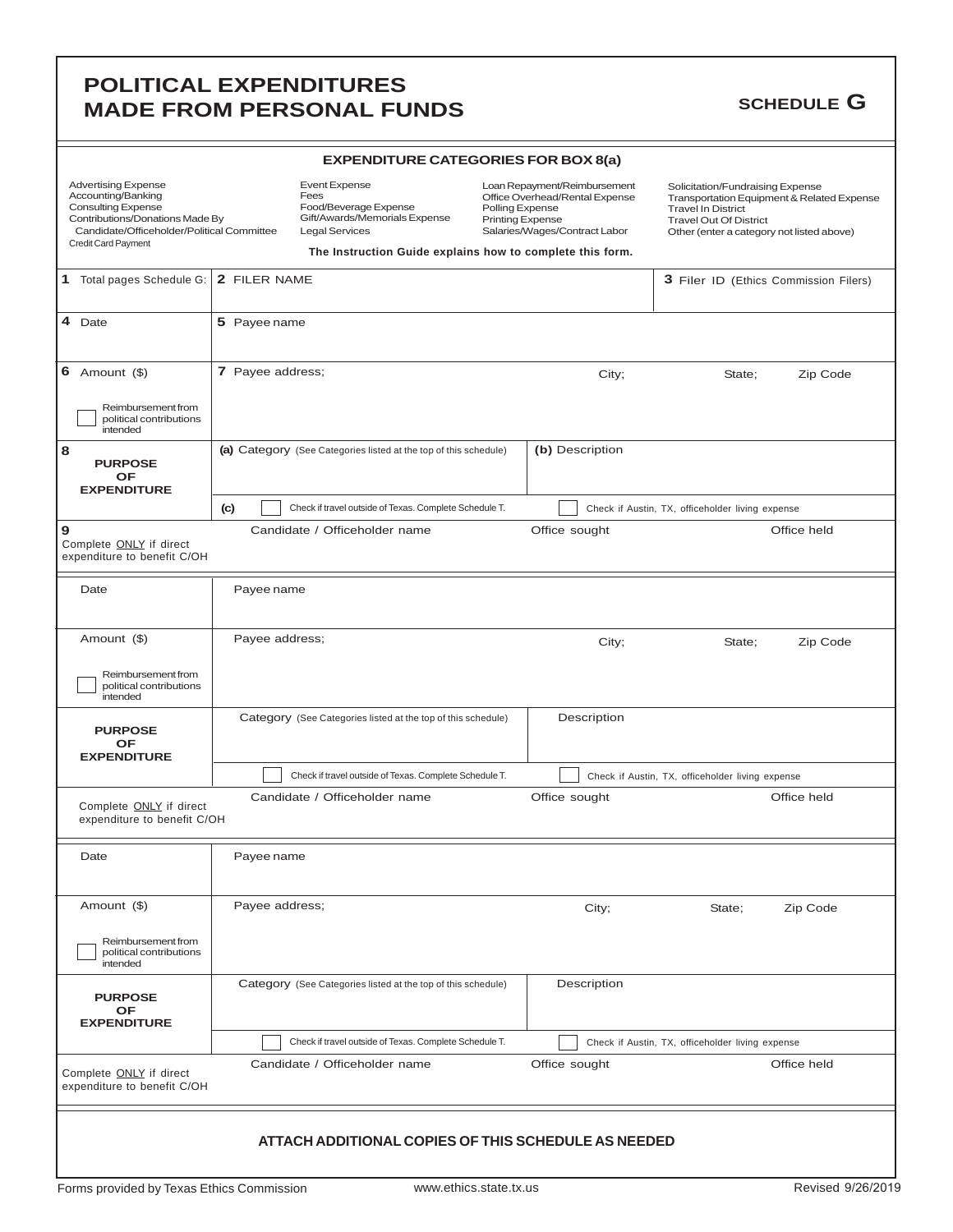### **POLITICAL EXPENDITURES MADE FROM PERSONAL FUNDS** SCHEDULE G

| <b>EXPENDITURE CATEGORIES FOR BOX 8(a)</b>                                                                                                                                            |                                                |                                                                                                                 |                                                                                                                                                                                                            |                 |                                                                                                                                                                                           |                                                  |                                                  |          |  |                                       |
|---------------------------------------------------------------------------------------------------------------------------------------------------------------------------------------|------------------------------------------------|-----------------------------------------------------------------------------------------------------------------|------------------------------------------------------------------------------------------------------------------------------------------------------------------------------------------------------------|-----------------|-------------------------------------------------------------------------------------------------------------------------------------------------------------------------------------------|--------------------------------------------------|--------------------------------------------------|----------|--|---------------------------------------|
| <b>Advertising Expense</b><br>Accounting/Banking<br><b>Consulting Expense</b><br>Contributions/Donations Made By<br>Candidate/Officeholder/Political Committee<br>Credit Card Payment |                                                | <b>Event Expense</b><br>Fees<br>Food/Beverage Expense<br>Gift/Awards/Memorials Expense<br><b>Legal Services</b> | Loan Repayment/Reimbursement<br>Office Overhead/Rental Expense<br>Polling Expense<br><b>Printing Expense</b><br>Salaries/Wages/Contract Labor<br>The Instruction Guide explains how to complete this form. |                 | Solicitation/Fundraising Expense<br>Transportation Equipment & Related Expense<br><b>Travel In District</b><br><b>Travel Out Of District</b><br>Other (enter a category not listed above) |                                                  |                                                  |          |  |                                       |
|                                                                                                                                                                                       |                                                |                                                                                                                 |                                                                                                                                                                                                            |                 |                                                                                                                                                                                           |                                                  |                                                  |          |  |                                       |
| 1 Total pages Schedule G:                                                                                                                                                             | 2 FILER NAME                                   |                                                                                                                 |                                                                                                                                                                                                            |                 |                                                                                                                                                                                           |                                                  |                                                  |          |  | 3 Filer ID (Ethics Commission Filers) |
| 4 Date                                                                                                                                                                                | 5 Payee name                                   |                                                                                                                 |                                                                                                                                                                                                            |                 |                                                                                                                                                                                           |                                                  |                                                  |          |  |                                       |
| 6 Amount $(\$)$<br>Reimbursement from                                                                                                                                                 | 7 Payee address;<br>City;<br>State;            |                                                                                                                 |                                                                                                                                                                                                            |                 |                                                                                                                                                                                           |                                                  | Zip Code                                         |          |  |                                       |
| political contributions<br>intended                                                                                                                                                   |                                                |                                                                                                                 |                                                                                                                                                                                                            |                 |                                                                                                                                                                                           |                                                  |                                                  |          |  |                                       |
| 8<br><b>PURPOSE</b><br><b>OF</b><br><b>EXPENDITURE</b>                                                                                                                                |                                                | (b) Description<br>(a) Category (See Categories listed at the top of this schedule)                             |                                                                                                                                                                                                            |                 |                                                                                                                                                                                           |                                                  |                                                  |          |  |                                       |
|                                                                                                                                                                                       | (c)                                            | Check if travel outside of Texas. Complete Schedule T.                                                          |                                                                                                                                                                                                            |                 |                                                                                                                                                                                           | Check if Austin, TX, officeholder living expense |                                                  |          |  |                                       |
| 9<br>Complete ONLY if direct<br>expenditure to benefit C/OH                                                                                                                           | Candidate / Officeholder name<br>Office sought |                                                                                                                 |                                                                                                                                                                                                            |                 |                                                                                                                                                                                           |                                                  |                                                  |          |  | Office held                           |
| Date                                                                                                                                                                                  |                                                | Payee name                                                                                                      |                                                                                                                                                                                                            |                 |                                                                                                                                                                                           |                                                  |                                                  |          |  |                                       |
| Amount (\$)                                                                                                                                                                           |                                                | Payee address;                                                                                                  |                                                                                                                                                                                                            | City;<br>State; |                                                                                                                                                                                           |                                                  | Zip Code                                         |          |  |                                       |
| Reimbursement from<br>political contributions<br>intended                                                                                                                             |                                                |                                                                                                                 |                                                                                                                                                                                                            |                 |                                                                                                                                                                                           |                                                  |                                                  |          |  |                                       |
| <b>PURPOSE</b><br>OF<br><b>EXPENDITURE</b>                                                                                                                                            |                                                | Category (See Categories listed at the top of this schedule)                                                    |                                                                                                                                                                                                            |                 |                                                                                                                                                                                           | Description                                      |                                                  |          |  |                                       |
|                                                                                                                                                                                       |                                                | Check if travel outside of Texas. Complete Schedule T.                                                          |                                                                                                                                                                                                            |                 |                                                                                                                                                                                           |                                                  | Check if Austin, TX, officeholder living expense |          |  |                                       |
| Complete <b>ONLY</b> if direct<br>expenditure to benefit C/OH                                                                                                                         |                                                | Candidate / Officeholder name                                                                                   |                                                                                                                                                                                                            |                 |                                                                                                                                                                                           | Office sought                                    |                                                  |          |  | Office held                           |
| Date                                                                                                                                                                                  |                                                | Payee name                                                                                                      |                                                                                                                                                                                                            |                 |                                                                                                                                                                                           |                                                  |                                                  |          |  |                                       |
| Amount (\$)                                                                                                                                                                           | Payee address;<br>City;                        |                                                                                                                 |                                                                                                                                                                                                            |                 |                                                                                                                                                                                           | State;                                           |                                                  | Zip Code |  |                                       |
| Reimbursement from<br>political contributions<br>intended                                                                                                                             |                                                |                                                                                                                 |                                                                                                                                                                                                            |                 |                                                                                                                                                                                           |                                                  |                                                  |          |  |                                       |
| <b>PURPOSE</b><br>OF<br><b>EXPENDITURE</b>                                                                                                                                            |                                                | Category (See Categories listed at the top of this schedule)                                                    |                                                                                                                                                                                                            |                 |                                                                                                                                                                                           | Description                                      |                                                  |          |  |                                       |
|                                                                                                                                                                                       |                                                | Check if travel outside of Texas. Complete Schedule T.                                                          |                                                                                                                                                                                                            |                 |                                                                                                                                                                                           | Check if Austin, TX, officeholder living expense |                                                  |          |  |                                       |
| Complete ONLY if direct<br>expenditure to benefit C/OH                                                                                                                                |                                                | Candidate / Officeholder name                                                                                   |                                                                                                                                                                                                            |                 |                                                                                                                                                                                           | Office sought                                    |                                                  |          |  | Office held                           |
|                                                                                                                                                                                       |                                                | ATTACH ADDITIONAL COPIES OF THIS SCHEDULE AS NEEDED                                                             |                                                                                                                                                                                                            |                 |                                                                                                                                                                                           |                                                  |                                                  |          |  |                                       |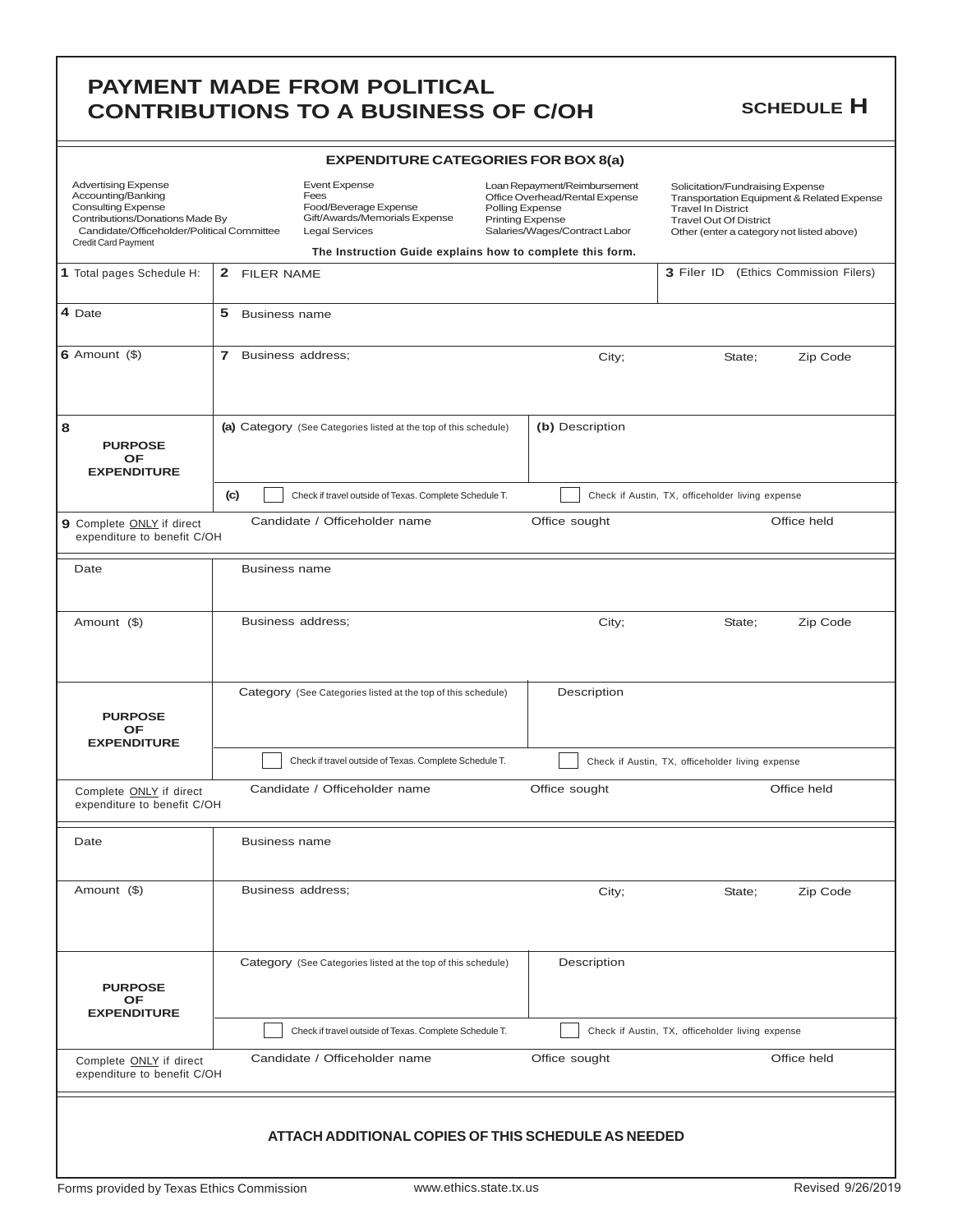|                                                                                                                                                                                       |                                   | <b>CONTRIBUTIONS TO A BUSINESS OF C/OH</b>                                                                                                                                   |                                            |                                                                                                 |                                                                                                                                                                                           | <b>SCHEDULE H</b>          |
|---------------------------------------------------------------------------------------------------------------------------------------------------------------------------------------|-----------------------------------|------------------------------------------------------------------------------------------------------------------------------------------------------------------------------|--------------------------------------------|-------------------------------------------------------------------------------------------------|-------------------------------------------------------------------------------------------------------------------------------------------------------------------------------------------|----------------------------|
|                                                                                                                                                                                       |                                   | <b>EXPENDITURE CATEGORIES FOR BOX 8(a)</b>                                                                                                                                   |                                            |                                                                                                 |                                                                                                                                                                                           |                            |
| <b>Advertising Expense</b><br>Accounting/Banking<br><b>Consulting Expense</b><br>Contributions/Donations Made By<br>Candidate/Officeholder/Political Committee<br>Credit Card Payment |                                   | <b>Event Expense</b><br>Fees<br>Food/Beverage Expense<br>Gift/Awards/Memorials Expense<br><b>Legal Services</b><br>The Instruction Guide explains how to complete this form. | Polling Expense<br><b>Printing Expense</b> | Loan Repayment/Reimbursement<br>Office Overhead/Rental Expense<br>Salaries/Wages/Contract Labor | Solicitation/Fundraising Expense<br>Transportation Equipment & Related Expense<br><b>Travel In District</b><br><b>Travel Out Of District</b><br>Other (enter a category not listed above) |                            |
| 1 Total pages Schedule H:                                                                                                                                                             | 2 FILER NAME                      |                                                                                                                                                                              |                                            |                                                                                                 | 3 Filer ID                                                                                                                                                                                | (Ethics Commission Filers) |
| 4 Date                                                                                                                                                                                | 5<br><b>Business name</b>         |                                                                                                                                                                              |                                            |                                                                                                 |                                                                                                                                                                                           |                            |
| 6 Amount $($ \$)                                                                                                                                                                      | $\mathbf{7}$<br>Business address; |                                                                                                                                                                              |                                            | City;                                                                                           | State;                                                                                                                                                                                    | Zip Code                   |
| 8<br><b>PURPOSE</b><br>OF<br><b>EXPENDITURE</b>                                                                                                                                       |                                   | (a) Category (See Categories listed at the top of this schedule)                                                                                                             |                                            | (b) Description                                                                                 |                                                                                                                                                                                           |                            |
|                                                                                                                                                                                       | (c)                               | Check if travel outside of Texas. Complete Schedule T.                                                                                                                       |                                            |                                                                                                 | Check if Austin, TX, officeholder living expense                                                                                                                                          |                            |
| 9 Complete ONLY if direct<br>expenditure to benefit C/OH                                                                                                                              |                                   | Candidate / Officeholder name                                                                                                                                                |                                            | Office sought                                                                                   |                                                                                                                                                                                           | Office held                |
| Date                                                                                                                                                                                  | <b>Business name</b>              |                                                                                                                                                                              |                                            |                                                                                                 |                                                                                                                                                                                           |                            |
| Amount (\$)                                                                                                                                                                           | Business address;                 |                                                                                                                                                                              |                                            | City;                                                                                           | State;                                                                                                                                                                                    | Zip Code                   |
| <b>PURPOSE</b><br>ОF<br><b>EXPENDITURE</b>                                                                                                                                            |                                   | Category (See Categories listed at the top of this schedule)                                                                                                                 |                                            | Description                                                                                     |                                                                                                                                                                                           |                            |
|                                                                                                                                                                                       |                                   | Check if travel outside of Texas. Complete Schedule T.                                                                                                                       |                                            |                                                                                                 | Check if Austin, TX, officeholder living expense                                                                                                                                          |                            |
| Complete <b>ONLY</b> if direct<br>expenditure to benefit C/OH                                                                                                                         |                                   | Candidate / Officeholder name                                                                                                                                                |                                            | Office sought                                                                                   |                                                                                                                                                                                           | Office held                |
| Date                                                                                                                                                                                  | <b>Business name</b>              |                                                                                                                                                                              |                                            |                                                                                                 |                                                                                                                                                                                           |                            |
| Amount (\$)                                                                                                                                                                           | Business address;                 |                                                                                                                                                                              |                                            | City;                                                                                           | State;                                                                                                                                                                                    | Zip Code                   |
| <b>PURPOSE</b><br>ОF<br><b>EXPENDITURE</b>                                                                                                                                            |                                   | Category (See Categories listed at the top of this schedule)                                                                                                                 |                                            | Description                                                                                     |                                                                                                                                                                                           |                            |
|                                                                                                                                                                                       |                                   | Check if travel outside of Texas. Complete Schedule T.                                                                                                                       |                                            |                                                                                                 | Check if Austin, TX, officeholder living expense                                                                                                                                          |                            |
| Complete ONLY if direct<br>expenditure to benefit C/OH                                                                                                                                |                                   | Candidate / Officeholder name                                                                                                                                                |                                            | Office sought                                                                                   |                                                                                                                                                                                           | Office held                |
|                                                                                                                                                                                       |                                   | ATTACH ADDITIONAL COPIES OF THIS SCHEDULE AS NEEDED                                                                                                                          |                                            |                                                                                                 |                                                                                                                                                                                           |                            |

**PAYMENT MADE FROM POLITICAL**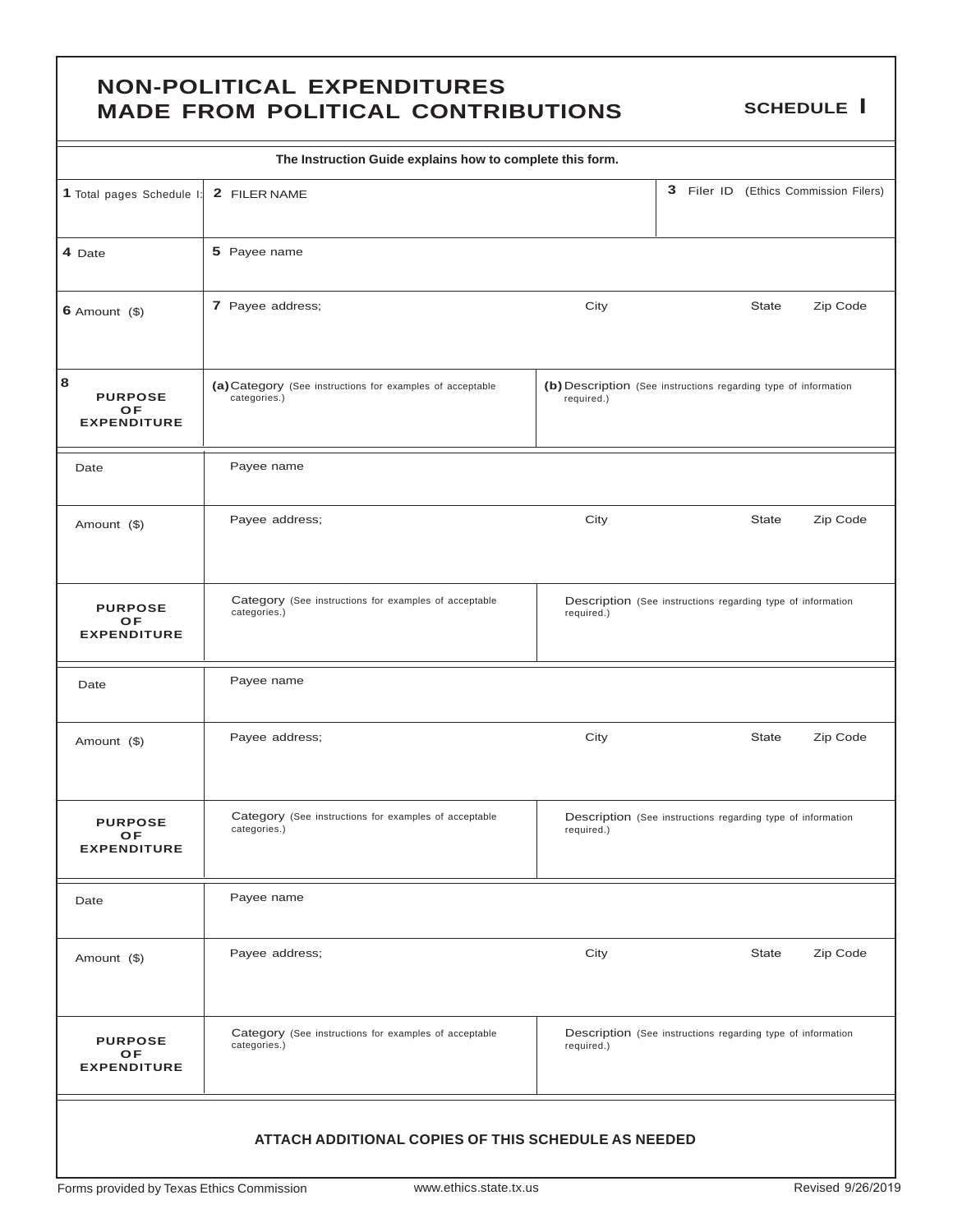### **NON-POLITICAL EXPENDITURES MADE FROM POLITICAL CONTRIBUTIONS SCHEDULE I**

| The Instruction Guide explains how to complete this form. |                                                                           |                                                                               |  |              |                                       |  |  |
|-----------------------------------------------------------|---------------------------------------------------------------------------|-------------------------------------------------------------------------------|--|--------------|---------------------------------------|--|--|
| 1 Total pages Schedule I:                                 | 2 FILER NAME                                                              |                                                                               |  |              | 3 Filer ID (Ethics Commission Filers) |  |  |
| 4 Date                                                    | 5 Payee name                                                              |                                                                               |  |              |                                       |  |  |
| $6$ Amount $($)$                                          | 7 Payee address;                                                          | City                                                                          |  | <b>State</b> | Zip Code                              |  |  |
| 8<br><b>PURPOSE</b><br>OF<br><b>EXPENDITURE</b>           | (a) Category (See instructions for examples of acceptable<br>categories.) | (b) Description (See instructions regarding type of information<br>required.) |  |              |                                       |  |  |
| Date                                                      | Payee name                                                                |                                                                               |  |              |                                       |  |  |
| Amount (\$)                                               | Payee address;                                                            | City                                                                          |  | <b>State</b> | Zip Code                              |  |  |
| <b>PURPOSE</b><br><b>OF</b><br><b>EXPENDITURE</b>         | Category (See instructions for examples of acceptable<br>categories.)     | Description (See instructions regarding type of information<br>required.)     |  |              |                                       |  |  |
| Date                                                      | Payee name                                                                |                                                                               |  |              |                                       |  |  |
| Amount (\$)                                               | Payee address;                                                            | City                                                                          |  | <b>State</b> | Zip Code                              |  |  |
| <b>PURPOSE</b><br>OF<br><b>EXPENDITURE</b>                | Category (See instructions for examples of acceptable<br>categories.)     | Description (See instructions regarding type of information<br>required.)     |  |              |                                       |  |  |
| Date                                                      | Payee name                                                                |                                                                               |  |              |                                       |  |  |
| Amount (\$)                                               | Payee address;                                                            | City                                                                          |  | <b>State</b> | Zip Code                              |  |  |
| <b>PURPOSE</b><br>OF<br><b>EXPENDITURE</b>                | Category (See instructions for examples of acceptable<br>categories.)     | Description (See instructions regarding type of information<br>required.)     |  |              |                                       |  |  |
|                                                           | ATTACH ADDITIONAL COPIES OF THIS SCHEDULE AS NEEDED                       |                                                                               |  |              |                                       |  |  |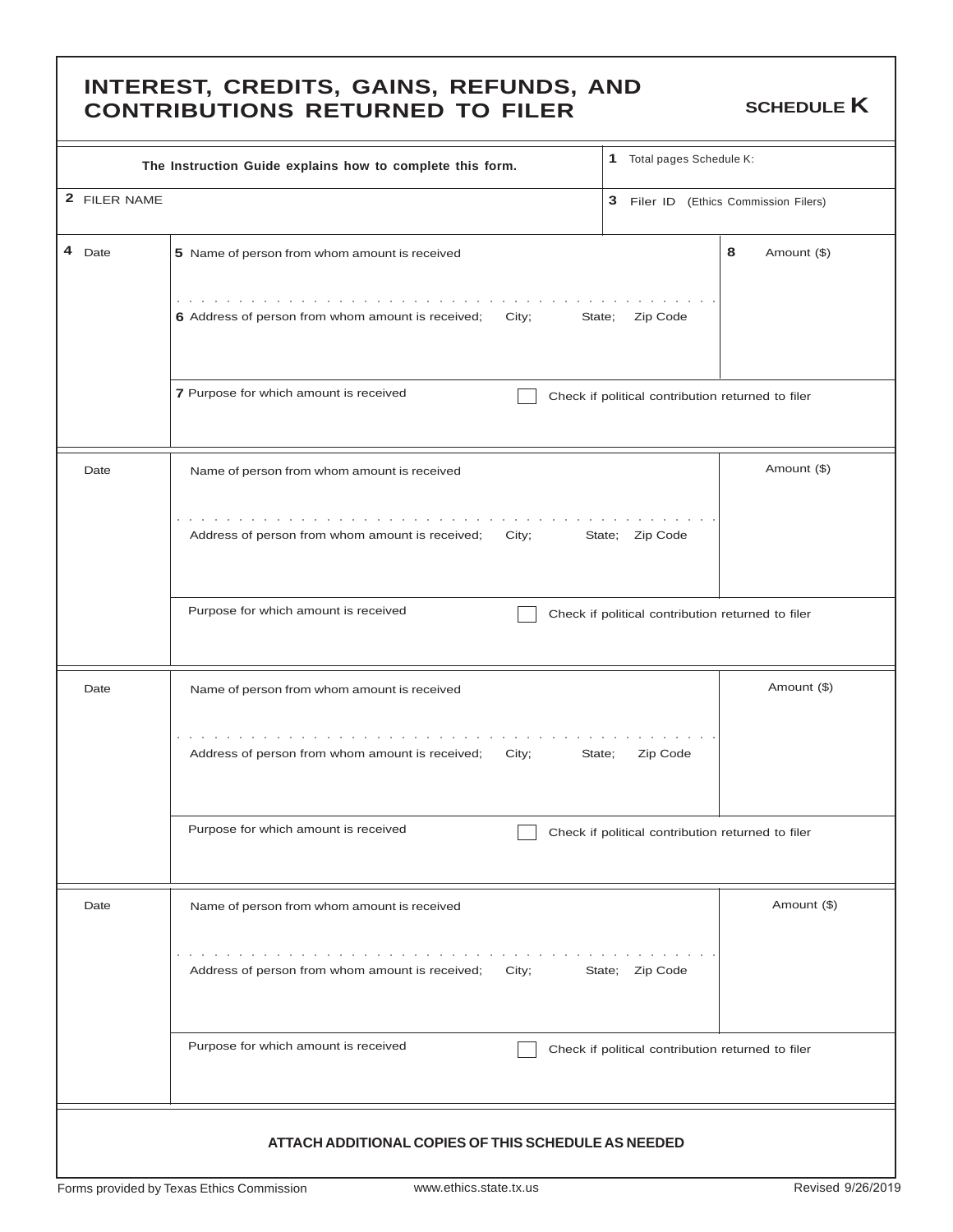### **INTEREST, CREDITS, GAINS, REFUNDS, AND CONTRIBUTIONS RETURNED TO FILER** SCHEDULE **K**

| The Instruction Guide explains how to complete this form. | Total pages Schedule K:<br>1                                                                                  |                                                   |
|-----------------------------------------------------------|---------------------------------------------------------------------------------------------------------------|---------------------------------------------------|
| 2 FILER NAME                                              |                                                                                                               | 3 Filer ID (Ethics Commission Filers)             |
| 4 Date                                                    | 5 Name of person from whom amount is received                                                                 | 8<br>Amount (\$)                                  |
|                                                           | and the second contract of the second<br>6 Address of person from whom amount is received;<br>City;<br>State; | Zip Code                                          |
|                                                           | 7 Purpose for which amount is received                                                                        | Check if political contribution returned to filer |
| Date                                                      | Name of person from whom amount is received                                                                   | Amount (\$)                                       |
|                                                           | the contract of the contract of the contract of<br>Address of person from whom amount is received;<br>City;   | State; Zip Code                                   |
|                                                           | Purpose for which amount is received                                                                          | Check if political contribution returned to filer |
| Date                                                      | Name of person from whom amount is received                                                                   | Amount (\$)                                       |
|                                                           | design and contract and contract and<br>Address of person from whom amount is received; City;<br>State;       | Zip Code                                          |
|                                                           | Purpose for which amount is received                                                                          | Check if political contribution returned to filer |
| Date                                                      | Name of person from whom amount is received                                                                   | Amount (\$)                                       |
|                                                           | design and contract to the contract of the con-<br>Address of person from whom amount is received;<br>City;   | State; Zip Code                                   |
|                                                           | Purpose for which amount is received                                                                          | Check if political contribution returned to filer |
|                                                           | ATTACH ADDITIONAL COPIES OF THIS SCHEDULE AS NEEDED                                                           |                                                   |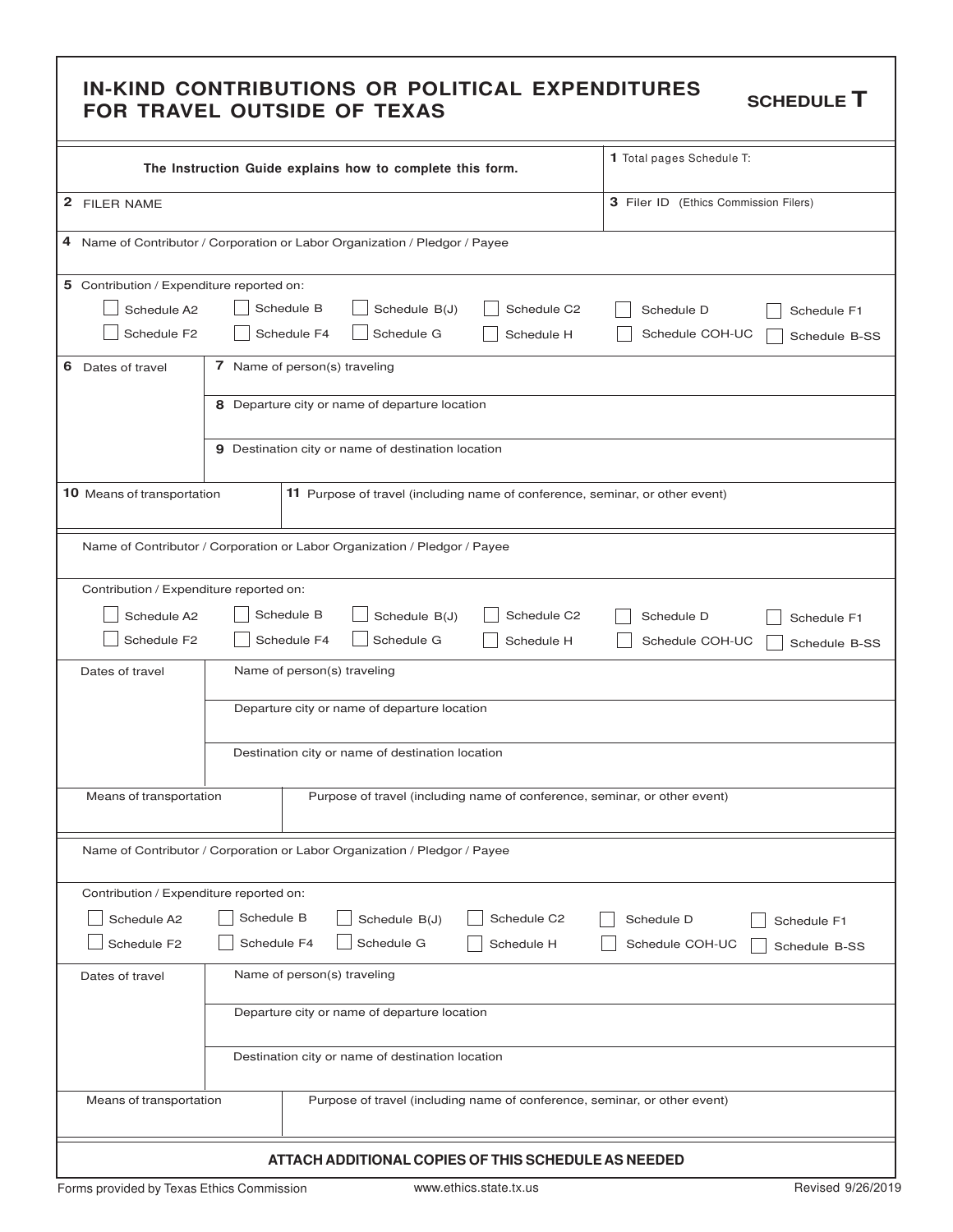# IN-KIND CONTRIBUTIONS OR POLITICAL EXPENDITURES schedule **T**<br>FOR TRAVEL OUTSIDE OF TEXAS

| The Instruction Guide explains how to complete this form.                              |                                                                             |                                                                           |                                                           |            | 1 Total pages Schedule T:                                                    |  |  |  |
|----------------------------------------------------------------------------------------|-----------------------------------------------------------------------------|---------------------------------------------------------------------------|-----------------------------------------------------------|------------|------------------------------------------------------------------------------|--|--|--|
| 2 FILER NAME                                                                           |                                                                             |                                                                           |                                                           |            | 3 Filer ID (Ethics Commission Filers)                                        |  |  |  |
|                                                                                        |                                                                             |                                                                           |                                                           |            |                                                                              |  |  |  |
|                                                                                        | 4 Name of Contributor / Corporation or Labor Organization / Pledgor / Payee |                                                                           |                                                           |            |                                                                              |  |  |  |
| 5 Contribution / Expenditure reported on:                                              |                                                                             |                                                                           |                                                           |            |                                                                              |  |  |  |
| Schedule B<br>Schedule C2<br>Schedule A2<br>Schedule B(J)<br>Schedule D<br>Schedule F1 |                                                                             |                                                                           |                                                           |            |                                                                              |  |  |  |
| Schedule F <sub>2</sub>                                                                | Schedule F4<br>Schedule G<br>Schedule H<br>Schedule COH-UC<br>Schedule B-SS |                                                                           |                                                           |            |                                                                              |  |  |  |
| 6<br>Dates of travel                                                                   | 7 Name of person(s) traveling                                               |                                                                           |                                                           |            |                                                                              |  |  |  |
|                                                                                        |                                                                             |                                                                           | 8 Departure city or name of departure location            |            |                                                                              |  |  |  |
|                                                                                        |                                                                             |                                                                           | <b>9</b> Destination city or name of destination location |            |                                                                              |  |  |  |
| 10 Means of transportation                                                             |                                                                             |                                                                           |                                                           |            | 11 Purpose of travel (including name of conference, seminar, or other event) |  |  |  |
| Name of Contributor / Corporation or Labor Organization / Pledgor / Payee              |                                                                             |                                                                           |                                                           |            |                                                                              |  |  |  |
| Contribution / Expenditure reported on:                                                |                                                                             |                                                                           |                                                           |            |                                                                              |  |  |  |
| Schedule A2                                                                            | Schedule B<br>Schedule B(J)<br>Schedule C2<br>Schedule D<br>Schedule F1     |                                                                           |                                                           |            |                                                                              |  |  |  |
| Schedule F <sub>2</sub>                                                                | Schedule G<br>Schedule F4<br>Schedule H<br>Schedule COH-UC<br>Schedule B-SS |                                                                           |                                                           |            |                                                                              |  |  |  |
| Dates of travel                                                                        | Name of person(s) traveling                                                 |                                                                           |                                                           |            |                                                                              |  |  |  |
|                                                                                        | Departure city or name of departure location                                |                                                                           |                                                           |            |                                                                              |  |  |  |
|                                                                                        | Destination city or name of destination location                            |                                                                           |                                                           |            |                                                                              |  |  |  |
| Means of transportation                                                                | Purpose of travel (including name of conference, seminar, or other event)   |                                                                           |                                                           |            |                                                                              |  |  |  |
| Name of Contributor / Corporation or Labor Organization / Pledgor / Payee              |                                                                             |                                                                           |                                                           |            |                                                                              |  |  |  |
| Contribution / Expenditure reported on:                                                |                                                                             |                                                                           |                                                           |            |                                                                              |  |  |  |
| Schedule B<br>Schedule A2<br>Schedule B(J)<br>Schedule C2<br>Schedule D<br>Schedule F1 |                                                                             |                                                                           |                                                           |            |                                                                              |  |  |  |
| Schedule F2                                                                            | Schedule F4                                                                 |                                                                           | Schedule G                                                | Schedule H | Schedule COH-UC<br>Schedule B-SS                                             |  |  |  |
| Dates of travel                                                                        | Name of person(s) traveling                                                 |                                                                           |                                                           |            |                                                                              |  |  |  |
|                                                                                        | Departure city or name of departure location                                |                                                                           |                                                           |            |                                                                              |  |  |  |
|                                                                                        | Destination city or name of destination location                            |                                                                           |                                                           |            |                                                                              |  |  |  |
| Means of transportation                                                                |                                                                             | Purpose of travel (including name of conference, seminar, or other event) |                                                           |            |                                                                              |  |  |  |
|                                                                                        | ATTACH ADDITIONAL COPIES OF THIS SCHEDULE AS NEEDED                         |                                                                           |                                                           |            |                                                                              |  |  |  |

Forms provided by Texas Ethics Commission www.ethics.state.tx.us example and the Revised 9/26/2019